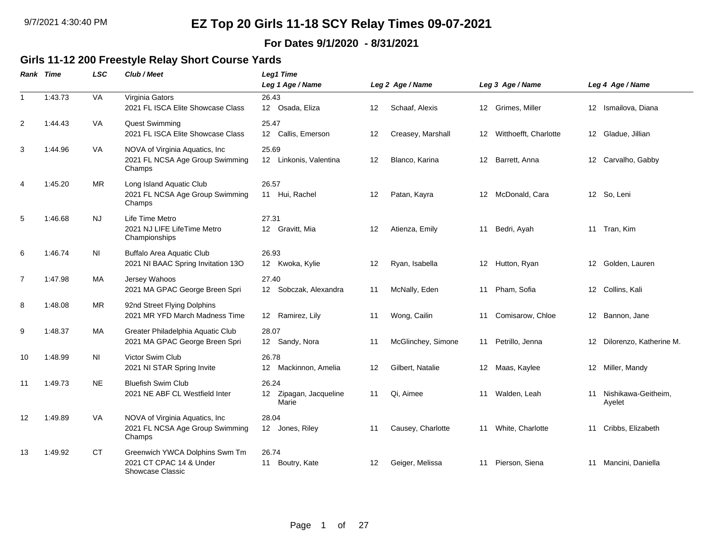#### **For Dates 9/1/2020 - 8/31/2021**

### **Girls 11-12 200 Freestyle Relay Short Course Yards**

|                | Rank Time | <b>LSC</b> | Club / Meet                                                                   | <b>Leg1 Time</b><br>Leg 1 Age / Name     |         | Leg 2 Age / Name   |                  | Leg 3 Age / Name      |                  | Leg 4 Age / Name              |
|----------------|-----------|------------|-------------------------------------------------------------------------------|------------------------------------------|---------|--------------------|------------------|-----------------------|------------------|-------------------------------|
| $\mathbf{1}$   | 1:43.73   | VA         | Virginia Gators<br>2021 FL ISCA Elite Showcase Class                          | 26.43<br>12 Osada, Eliza                 | 12      | Schaaf, Alexis     |                  | 12 Grimes, Miller     | 12 <sup>12</sup> | Ismailova, Diana              |
| 2              | 1:44.43   | VA         | Quest Swimming<br>2021 FL ISCA Elite Showcase Class                           | 25.47<br>12 Callis, Emerson              | 12      | Creasey, Marshall  | 12               | Witthoefft, Charlotte |                  | 12 Gladue, Jillian            |
| 3              | 1:44.96   | <b>VA</b>  | NOVA of Virginia Aquatics, Inc.<br>2021 FL NCSA Age Group Swimming<br>Champs  | 25.69<br>12 Linkonis, Valentina          | 12      | Blanco, Karina     | 12 <sup>12</sup> | Barrett, Anna         |                  | 12 Carvalho, Gabby            |
| $\overline{4}$ | 1:45.20   | <b>MR</b>  | Long Island Aquatic Club<br>2021 FL NCSA Age Group Swimming<br>Champs         | 26.57<br>11 Hui, Rachel                  | $12 \,$ | Patan, Kayra       | 12               | McDonald, Cara        |                  | 12 So, Leni                   |
| 5              | 1:46.68   | <b>NJ</b>  | Life Time Metro<br>2021 NJ LIFE LifeTime Metro<br>Championships               | 27.31<br>12 Gravitt, Mia                 | 12      | Atienza, Emily     | 11               | Bedri, Ayah           |                  | 11 Tran, Kim                  |
| 6              | 1:46.74   | NI         | Buffalo Area Aquatic Club<br>2021 NI BAAC Spring Invitation 13O               | 26.93<br>12 Kwoka, Kylie                 | 12      | Ryan, Isabella     | 12               | Hutton, Ryan          | 12               | Golden, Lauren                |
| $\overline{7}$ | 1:47.98   | МA         | Jersey Wahoos<br>2021 MA GPAC George Breen Spri                               | 27.40<br>12 Sobczak, Alexandra           | 11      | McNally, Eden      | 11               | Pham, Sofia           |                  | 12 Collins, Kali              |
| 8              | 1:48.08   | <b>MR</b>  | 92nd Street Flying Dolphins<br>2021 MR YFD March Madness Time                 | 12 Ramirez, Lily                         | 11      | Wong, Cailin       | 11               | Comisarow, Chloe      |                  | 12 Bannon, Jane               |
| 9              | 1:48.37   | MA         | Greater Philadelphia Aquatic Club<br>2021 MA GPAC George Breen Spri           | 28.07<br>12 Sandy, Nora                  | 11      | McGlinchey, Simone | 11               | Petrillo, Jenna       | 12               | Dilorenzo, Katherine M.       |
| 10             | 1:48.99   | ΝI         | Victor Swim Club<br>2021 NI STAR Spring Invite                                | 26.78<br>12 Mackinnon, Amelia            | 12      | Gilbert, Natalie   |                  | 12 Maas, Kaylee       |                  | 12 Miller, Mandy              |
| 11             | 1:49.73   | <b>NE</b>  | <b>Bluefish Swim Club</b><br>2021 NE ABF CL Westfield Inter                   | 26.24<br>12 Zipagan, Jacqueline<br>Marie | 11      | Qi, Aimee          | 11               | Walden, Leah          | 11               | Nishikawa-Geitheim,<br>Ayelet |
| 12             | 1:49.89   | VA         | NOVA of Virginia Aquatics, Inc.<br>2021 FL NCSA Age Group Swimming<br>Champs  | 28.04<br>12 Jones, Riley                 | 11      | Causey, Charlotte  | 11               | White, Charlotte      | 11               | Cribbs, Elizabeth             |
| 13             | 1:49.92   | <b>CT</b>  | Greenwich YWCA Dolphins Swm Tm<br>2021 CT CPAC 14 & Under<br>Showcase Classic | 26.74<br>Boutry, Kate<br>11              | $12 \,$ | Geiger, Melissa    | 11               | Pierson, Siena        |                  | 11 Mancini, Daniella          |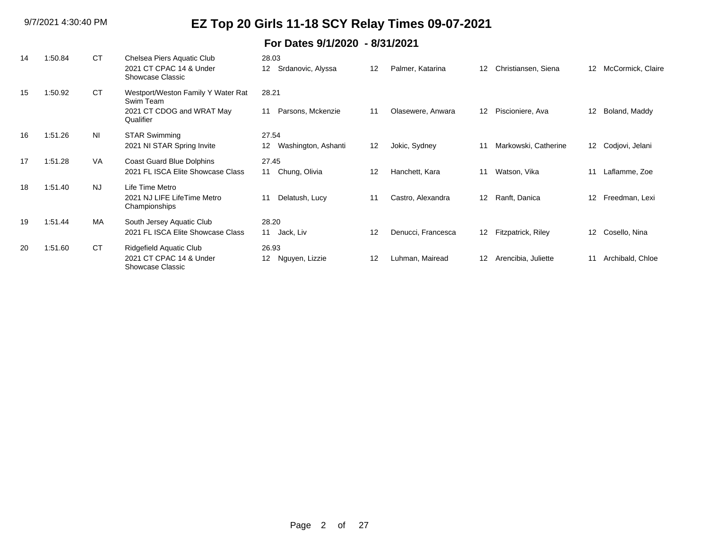| 14 | 1:50.84 | <b>CT</b> | Chelsea Piers Aquatic Club                      | 28.03                                  |    |                    |                 |                      |                   |                    |
|----|---------|-----------|-------------------------------------------------|----------------------------------------|----|--------------------|-----------------|----------------------|-------------------|--------------------|
|    |         |           | 2021 CT CPAC 14 & Under<br>Showcase Classic     | Srdanovic, Alyssa<br>$12 \overline{ }$ | 12 | Palmer, Katarina   | 12              | Christiansen, Siena  | $12 \overline{ }$ | McCormick, Claire  |
| 15 | 1:50.92 | <b>CT</b> | Westport/Weston Family Y Water Rat<br>Swim Team | 28.21                                  |    |                    |                 |                      |                   |                    |
|    |         |           | 2021 CT CDOG and WRAT May<br>Qualifier          | Parsons, Mckenzie<br>11                | 11 | Olasewere, Anwara  | 12              | Piscioniere, Ava     | 12                | Boland, Maddy      |
| 16 | 1:51.26 | <b>NI</b> | <b>STAR Swimming</b>                            | 27.54                                  |    |                    |                 |                      |                   |                    |
|    |         |           | 2021 NI STAR Spring Invite                      | Washington, Ashanti<br>12              | 12 | Jokic, Sydney      | 11              | Markowski, Catherine |                   | 12 Codjovi, Jelani |
| 17 | 1:51.28 | <b>VA</b> | Coast Guard Blue Dolphins                       | 27.45                                  |    |                    |                 |                      |                   |                    |
|    |         |           | 2021 FL ISCA Elite Showcase Class               | 11 Chung, Olivia                       | 12 | Hanchett, Kara     | 11              | Watson, Vika         | 11                | Laflamme, Zoe      |
| 18 | 1:51.40 | <b>NJ</b> | Life Time Metro                                 |                                        |    |                    |                 |                      |                   |                    |
|    |         |           | 2021 NJ LIFE LifeTime Metro<br>Championships    | Delatush, Lucy<br>11                   | 11 | Castro, Alexandra  | 12              | Ranft, Danica        | $12 \,$           | Freedman, Lexi     |
| 19 | 1:51.44 | <b>MA</b> | South Jersey Aquatic Club                       | 28.20                                  |    |                    |                 |                      |                   |                    |
|    |         |           | 2021 FL ISCA Elite Showcase Class               | Jack, Liv<br>11                        | 12 | Denucci, Francesca | 12 <sup>°</sup> | Fitzpatrick, Riley   | 12 <sup>°</sup>   | Cosello, Nina      |
| 20 | 1:51.60 | <b>CT</b> | Ridgefield Aquatic Club                         | 26.93                                  |    |                    |                 |                      |                   |                    |
|    |         |           | 2021 CT CPAC 14 & Under<br>Showcase Classic     | Nguyen, Lizzie<br>12                   | 12 | Luhman, Mairead    | 12              | Arencibia, Juliette  | 11                | Archibald, Chloe   |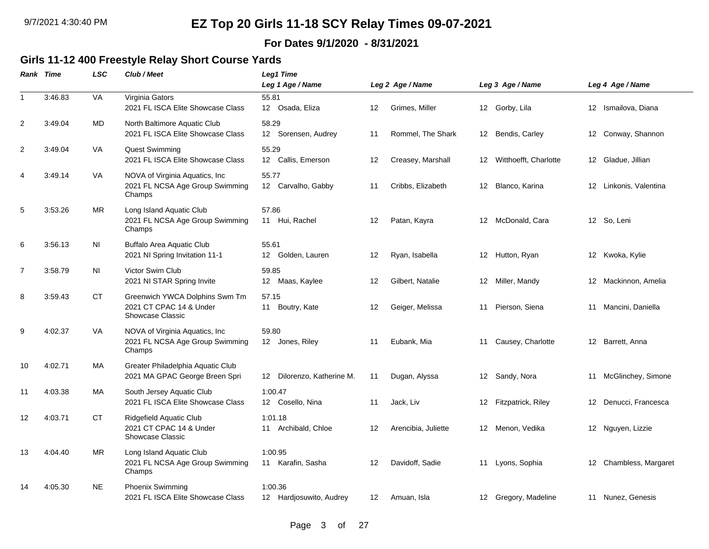#### **For Dates 9/1/2020 - 8/31/2021**

### **Girls 11-12 400 Freestyle Relay Short Course Yards**

|                | Rank Time | LSC       | Club / Meet                                                                   | <b>Leg1 Time</b><br>Leg 1 Age / Name          |         | Leg 2 Age / Name    |    | Leg 3 Age / Name         |                   | Leg 4 Age / Name       |
|----------------|-----------|-----------|-------------------------------------------------------------------------------|-----------------------------------------------|---------|---------------------|----|--------------------------|-------------------|------------------------|
| $\mathbf{1}$   | 3:46.83   | VA        | Virginia Gators<br>2021 FL ISCA Elite Showcase Class                          | 55.81<br>12 Osada, Eliza                      | 12      | Grimes, Miller      |    | 12 Gorby, Lila           |                   | 12 Ismailova, Diana    |
| 2              | 3:49.04   | MD        | North Baltimore Aquatic Club<br>2021 FL ISCA Elite Showcase Class             | 58.29<br>Sorensen, Audrey<br>12 <sup>12</sup> | 11      | Rommel, The Shark   | 12 | Bendis, Carley           | 12 <sup>°</sup>   | Conway, Shannon        |
| $\overline{c}$ | 3:49.04   | VA        | <b>Quest Swimming</b><br>2021 FL ISCA Elite Showcase Class                    | 55.29<br>12 Callis, Emerson                   | 12      | Creasey, Marshall   |    | 12 Witthoefft, Charlotte |                   | 12 Gladue, Jillian     |
| 4              | 3:49.14   | VA        | NOVA of Virginia Aquatics, Inc.<br>2021 FL NCSA Age Group Swimming<br>Champs  | 55.77<br>12 Carvalho, Gabby                   | 11      | Cribbs, Elizabeth   | 12 | Blanco, Karina           |                   | 12 Linkonis, Valentina |
| 5              | 3:53.26   | MR        | Long Island Aquatic Club<br>2021 FL NCSA Age Group Swimming<br>Champs         | 57.86<br>11 Hui, Rachel                       | 12      | Patan, Kayra        | 12 | McDonald, Cara           |                   | 12 So, Leni            |
| 6              | 3:56.13   | <b>NI</b> | <b>Buffalo Area Aquatic Club</b><br>2021 NI Spring Invitation 11-1            | 55.61<br>12 Golden, Lauren                    | 12      | Ryan, Isabella      |    | 12 Hutton, Ryan          |                   | 12 Kwoka, Kylie        |
| $\overline{7}$ | 3:58.79   | ΝI        | Victor Swim Club<br>2021 NI STAR Spring Invite                                | 59.85<br>12 Maas, Kaylee                      | 12      | Gilbert, Natalie    | 12 | Miller, Mandy            |                   | 12 Mackinnon, Amelia   |
| 8              | 3:59.43   | <b>CT</b> | Greenwich YWCA Dolphins Swm Tm<br>2021 CT CPAC 14 & Under<br>Showcase Classic | 57.15<br>Boutry, Kate<br>11                   | 12      | Geiger, Melissa     | 11 | Pierson, Siena           |                   | 11 Mancini, Daniella   |
| 9              | 4:02.37   | VA        | NOVA of Virginia Aquatics, Inc<br>2021 FL NCSA Age Group Swimming<br>Champs   | 59.80<br>12 Jones, Riley                      | 11      | Eubank, Mia         | 11 | Causey, Charlotte        |                   | 12 Barrett, Anna       |
| 10             | 4:02.71   | MA        | Greater Philadelphia Aquatic Club<br>2021 MA GPAC George Breen Spri           | Dilorenzo, Katherine M.<br>12                 | 11      | Dugan, Alyssa       |    | 12 Sandy, Nora           |                   | 11 McGlinchey, Simone  |
| 11             | 4:03.38   | <b>MA</b> | South Jersey Aquatic Club<br>2021 FL ISCA Elite Showcase Class                | 1:00.47<br>12 Cosello, Nina                   | 11      | Jack, Liv           | 12 | Fitzpatrick, Riley       | $12 \overline{ }$ | Denucci, Francesca     |
| 12             | 4:03.71   | СT        | Ridgefield Aquatic Club<br>2021 CT CPAC 14 & Under<br>Showcase Classic        | 1:01.18<br>11 Archibald, Chloe                | 12      | Arencibia, Juliette |    | 12 Menon, Vedika         |                   | 12 Nguyen, Lizzie      |
| 13             | 4:04.40   | MR        | Long Island Aquatic Club<br>2021 FL NCSA Age Group Swimming<br>Champs         | 1:00.95<br>11 Karafin, Sasha                  | $12 \,$ | Davidoff, Sadie     | 11 | Lyons, Sophia            |                   | 12 Chambless, Margaret |
| 14             | 4:05.30   | <b>NE</b> | Phoenix Swimming<br>2021 FL ISCA Elite Showcase Class                         | 1:00.36<br>12 Hardjosuwito, Audrey            | 12      | Amuan, Isla         |    | 12 Gregory, Madeline     |                   | 11 Nunez, Genesis      |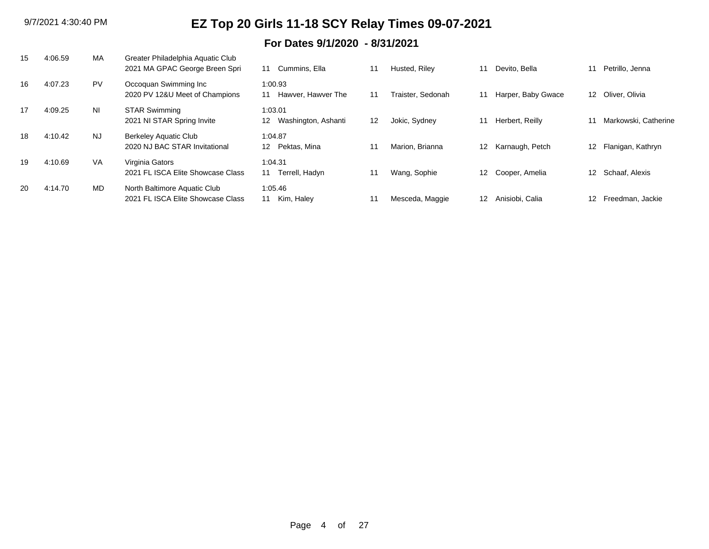| 15 | 4:06.59 | MA        | Greater Philadelphia Aquatic Club<br>2021 MA GPAC George Breen Spri | Cummins, Ella<br>11                        | 11 | Husted, Riley     | 11               | Devito. Bella      | 11              | Petrillo, Jenna      |
|----|---------|-----------|---------------------------------------------------------------------|--------------------------------------------|----|-------------------|------------------|--------------------|-----------------|----------------------|
| 16 | 4:07.23 | <b>PV</b> | Occoquan Swimming Inc<br>2020 PV 12&U Meet of Champions             | 1:00.93<br>Hawver, Hawver The<br>11        | 11 | Fraister. Sedonah | 11               | Harper, Baby Gwace | 12              | Oliver, Olivia       |
| 17 | 4:09.25 | NI.       | <b>STAR Swimming</b><br>2021 NI STAR Spring Invite                  | 1:03.01<br>Washington, Ashanti<br>12       | 12 | Jokic, Sydney     | 11               | Herbert, Reilly    |                 | Markowski, Catherine |
| 18 | 4:10.42 | <b>NJ</b> | <b>Berkeley Aquatic Club</b><br>2020 NJ BAC STAR Invitational       | 1:04.87<br>Pektas, Mina<br>12 <sup>2</sup> | 11 | Marion, Brianna   | 12 <sup>12</sup> | Karnaugh, Petch    | 12 <sup>°</sup> | Flanigan, Kathryn    |
| 19 | 4:10.69 | VA        | Virginia Gators<br>2021 FL ISCA Elite Showcase Class                | 1:04.31<br>Terrell, Hadyn<br>11            | 11 | Wang, Sophie      | 12 <sup>12</sup> | Cooper, Amelia     | 12 <sup>2</sup> | Schaaf, Alexis       |
| 20 | 4:14.70 | MD        | North Baltimore Aquatic Club<br>2021 FL ISCA Elite Showcase Class   | 1:05.46<br>Kim, Haley<br>11                | 11 | Mesceda, Maggie   | 12               | Anisiobi, Calia    | 12              | Freedman, Jackie     |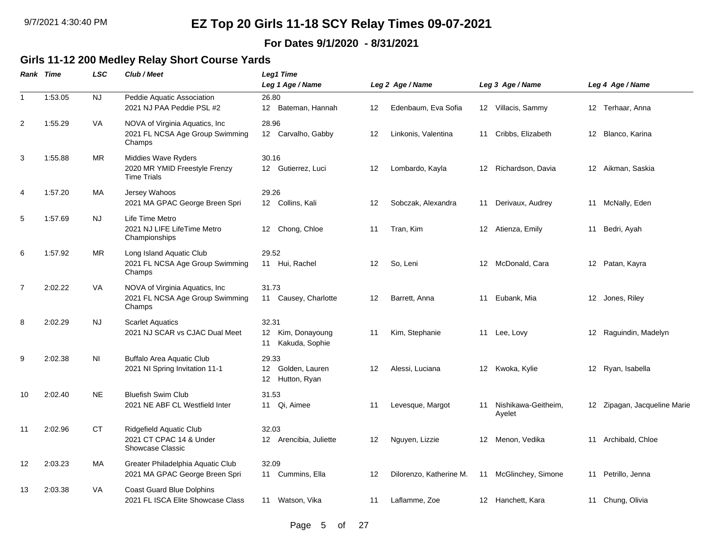#### **For Dates 9/1/2020 - 8/31/2021**

### **Girls 11-12 200 Medley Relay Short Course Yards**

|                | Rank Time | LSC       | Club / Meet                                                                  | <b>Leg1 Time</b><br>Leg 1 Age / Name                                          |                   | Leg 2 Age / Name        |    | Leg 3 Age / Name              |                   | Leg 4 Age / Name          |
|----------------|-----------|-----------|------------------------------------------------------------------------------|-------------------------------------------------------------------------------|-------------------|-------------------------|----|-------------------------------|-------------------|---------------------------|
| $\mathbf{1}$   | 1:53.05   | <b>NJ</b> | Peddie Aquatic Association<br>2021 NJ PAA Peddie PSL #2                      | 26.80<br>Bateman, Hannah<br>12 <sup>12</sup>                                  | 12                | Edenbaum, Eva Sofia     |    | 12 Villacis, Sammy            |                   | 12 Terhaar, Anna          |
| $\overline{c}$ | 1:55.29   | VA        | NOVA of Virginia Aquatics, Inc.<br>2021 FL NCSA Age Group Swimming<br>Champs | 28.96<br>12 Carvalho, Gabby                                                   | $12 \overline{ }$ | Linkonis, Valentina     | 11 | Cribbs, Elizabeth             | 12                | Blanco, Karina            |
| 3              | 1:55.88   | <b>MR</b> | Middies Wave Ryders<br>2020 MR YMID Freestyle Frenzy<br><b>Time Trials</b>   | 30.16<br>12 Gutierrez, Luci                                                   | 12                | Lombardo, Kayla         | 12 | Richardson, Davia             |                   | 12 Aikman, Saskia         |
| $\overline{4}$ | 1:57.20   | <b>MA</b> | Jersey Wahoos<br>2021 MA GPAC George Breen Spri                              | 29.26<br>12 Collins, Kali                                                     | 12                | Sobczak, Alexandra      | 11 | Derivaux, Audrey              | 11                | McNally, Eden             |
| 5              | 1:57.69   | NJ.       | Life Time Metro<br>2021 NJ LIFE LifeTime Metro<br>Championships              | Chong, Chloe<br>12 <sup>12</sup>                                              | 11                | Tran, Kim               | 12 | Atienza, Emily                | 11                | Bedri, Ayah               |
| 6              | 1:57.92   | <b>MR</b> | Long Island Aquatic Club<br>2021 FL NCSA Age Group Swimming<br>Champs        | 29.52<br>11 Hui, Rachel                                                       | 12                | So, Leni                | 12 | McDonald, Cara                | $12 \overline{ }$ | Patan, Kayra              |
| $\overline{7}$ | 2:02.22   | VA        | NOVA of Virginia Aquatics, Inc<br>2021 FL NCSA Age Group Swimming<br>Champs  | 31.73<br>11 Causey, Charlotte                                                 | 12                | Barrett, Anna           | 11 | Eubank, Mia                   |                   | 12 Jones, Riley           |
| 8              | 2:02.29   | <b>NJ</b> | <b>Scarlet Aquatics</b><br>2021 NJ SCAR vs CJAC Dual Meet                    | 32.31<br>Kim, Donayoung<br>12 <sup>12</sup><br>Kakuda, Sophie<br>11           | 11                | Kim, Stephanie          | 11 | Lee, Lovy                     | 12                | Raguindin, Madelyn        |
| 9              | 2:02.38   | <b>NI</b> | <b>Buffalo Area Aquatic Club</b><br>2021 NI Spring Invitation 11-1           | 29.33<br>Golden, Lauren<br>12 <sup>2</sup><br>Hutton, Ryan<br>12 <sup>°</sup> | $12 \overline{ }$ | Alessi, Luciana         |    | 12 Kwoka, Kylie               |                   | 12 Ryan, Isabella         |
| 10             | 2:02.40   | <b>NE</b> | <b>Bluefish Swim Club</b><br>2021 NE ABF CL Westfield Inter                  | 31.53<br>11 Qi, Aimee                                                         | 11                | Levesque, Margot        | 11 | Nishikawa-Geitheim,<br>Ayelet | 12 <sup>°</sup>   | Zipagan, Jacqueline Marie |
| 11             | 2:02.96   | <b>CT</b> | Ridgefield Aquatic Club<br>2021 CT CPAC 14 & Under<br>Showcase Classic       | 32.03<br>12 Arencibia, Juliette                                               | $12 \overline{ }$ | Nguyen, Lizzie          | 12 | Menon, Vedika                 | 11                | Archibald, Chloe          |
| 12             | 2:03.23   | MA        | Greater Philadelphia Aquatic Club<br>2021 MA GPAC George Breen Spri          | 32.09<br>11 Cummins, Ella                                                     | 12                | Dilorenzo, Katherine M. |    | 11 McGlinchey, Simone         | 11                | Petrillo, Jenna           |
| 13             | 2:03.38   | VA        | <b>Coast Guard Blue Dolphins</b><br>2021 FL ISCA Elite Showcase Class        | 11 Watson, Vika                                                               | -11               | Laflamme, Zoe           | 12 | Hanchett, Kara                |                   | 11 Chung, Olivia          |

Page 5 of 27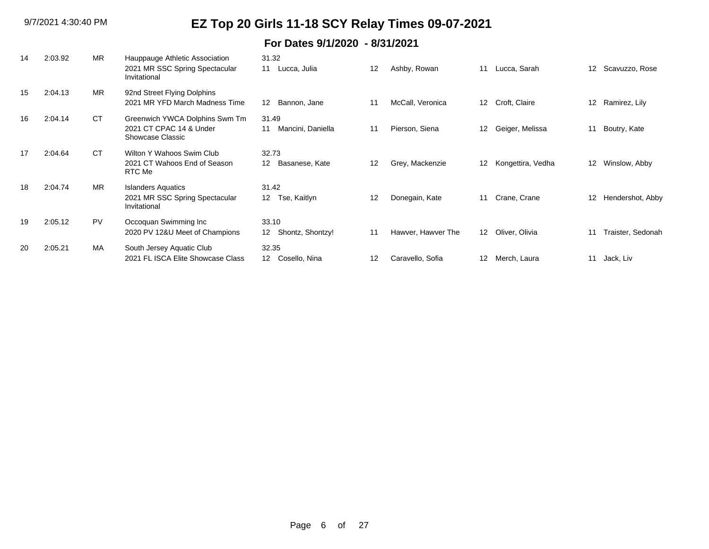| 14 | 2:03.92 | <b>MR</b> | Hauppauge Athletic Association<br>2021 MR SSC Spring Spectacular<br>Invitational | 31.32<br>Lucca, Julia<br>11                   | 12                | Ashby, Rowan       | 11                | Lucca, Sarah      | 12 <sup>12</sup> | Scavuzzo, Rose    |
|----|---------|-----------|----------------------------------------------------------------------------------|-----------------------------------------------|-------------------|--------------------|-------------------|-------------------|------------------|-------------------|
| 15 | 2:04.13 | <b>MR</b> | 92nd Street Flying Dolphins<br>2021 MR YFD March Madness Time                    | Bannon, Jane<br>12                            | 11                | McCall, Veronica   | 12 <sup>12</sup>  | Croft, Claire     | 12               | Ramirez, Lily     |
| 16 | 2:04.14 | <b>CT</b> | Greenwich YWCA Dolphins Swm Tm<br>2021 CT CPAC 14 & Under<br>Showcase Classic    | 31.49<br>Mancini, Daniella<br>11              | 11                | Pierson, Siena     | 12                | Geiger, Melissa   | 11               | Boutry, Kate      |
| 17 | 2:04.64 | <b>CT</b> | Wilton Y Wahoos Swim Club<br>2021 CT Wahoos End of Season<br>RTC Me              | 32.73<br>Basanese, Kate<br>12                 | 12                | Grey, Mackenzie    | $12 \overline{ }$ | Kongettira, Vedha | 12               | Winslow, Abby     |
| 18 | 2:04.74 | <b>MR</b> | <b>Islanders Aquatics</b><br>2021 MR SSC Spring Spectacular<br>Invitational      | 31.42<br>Tse, Kaitlyn<br>12 <sup>12</sup>     | $12 \overline{ }$ | Donegain, Kate     | 11                | Crane, Crane      | $12 \,$          | Hendershot, Abby  |
| 19 | 2:05.12 | <b>PV</b> | Occoquan Swimming Inc<br>2020 PV 12&U Meet of Champions                          | 33.10<br>Shontz, Shontzy!<br>12 <sup>12</sup> | 11                | Hawver, Hawver The | 12                | Oliver, Olivia    | 11               | Traister, Sedonah |
| 20 | 2:05.21 | MA        | South Jersey Aquatic Club<br>2021 FL ISCA Elite Showcase Class                   | 32.35<br>12 <sup>1</sup><br>Cosello, Nina     | 12                | Caravello, Sofia   | $12 \overline{ }$ | Merch, Laura      | 11               | Jack, Liv         |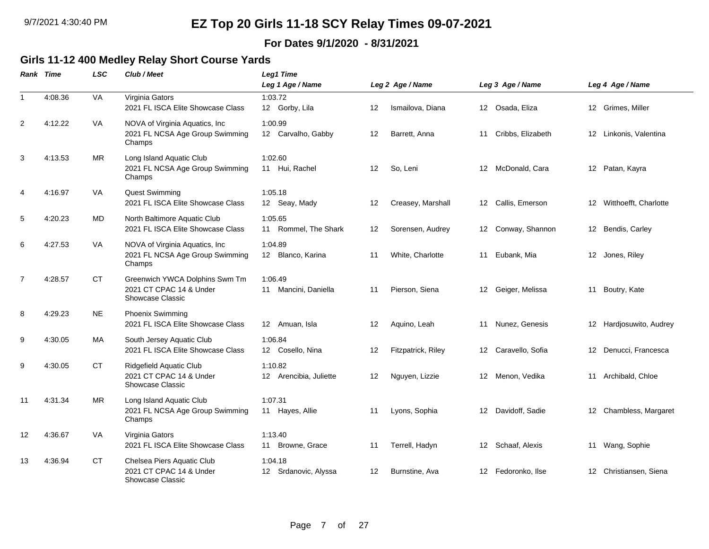#### **For Dates 9/1/2020 - 8/31/2021**

### **Girls 11-12 400 Medley Relay Short Course Yards**

|                | <b>Rank Time</b> | <b>LSC</b> | Club / Meet                                                                      | Leg1 Time<br>Leg 1 Age / Name     |    | Leg 2 Age / Name   |                 | Leg 3 Age / Name     |    | Leg 4 Age / Name         |
|----------------|------------------|------------|----------------------------------------------------------------------------------|-----------------------------------|----|--------------------|-----------------|----------------------|----|--------------------------|
| $\mathbf{1}$   | 4:08.36          | VA         | Virginia Gators<br>2021 FL ISCA Elite Showcase Class                             | 1:03.72<br>12 Gorby, Lila         | 12 | Ismailova, Diana   |                 | 12 Osada, Eliza      |    | 12 Grimes, Miller        |
| 2              | 4:12.22          | <b>VA</b>  | NOVA of Virginia Aquatics, Inc.<br>2021 FL NCSA Age Group Swimming<br>Champs     | 1:00.99<br>12 Carvalho, Gabby     | 12 | Barrett, Anna      |                 | 11 Cribbs, Elizabeth |    | 12 Linkonis, Valentina   |
| 3              | 4:13.53          | MR.        | Long Island Aquatic Club<br>2021 FL NCSA Age Group Swimming<br>Champs            | 1:02.60<br>11 Hui, Rachel         | 12 | So, Leni           |                 | 12 McDonald, Cara    |    | 12 Patan, Kayra          |
| 4              | 4:16.97          | VA.        | Quest Swimming<br>2021 FL ISCA Elite Showcase Class                              | 1:05.18<br>12 Seay, Mady          | 12 | Creasey, Marshall  |                 | 12 Callis, Emerson   |    | 12 Witthoefft, Charlotte |
| 5              | 4:20.23          | MD         | North Baltimore Aquatic Club<br>2021 FL ISCA Elite Showcase Class                | 1:05.65<br>11 Rommel, The Shark   | 12 | Sorensen, Audrey   | 12              | Conway, Shannon      |    | 12 Bendis, Carley        |
| 6              | 4:27.53          | <b>VA</b>  | NOVA of Virginia Aquatics, Inc.<br>2021 FL NCSA Age Group Swimming<br>Champs     | 1:04.89<br>12 Blanco, Karina      | 11 | White, Charlotte   | 11              | Eubank, Mia          |    | 12 Jones, Riley          |
| $\overline{7}$ | 4:28.57          | <b>CT</b>  | Greenwich YWCA Dolphins Swm Tm<br>2021 CT CPAC 14 & Under<br>Showcase Classic    | 1:06.49<br>11 Mancini, Daniella   | 11 | Pierson, Siena     |                 | 12 Geiger, Melissa   |    | 11 Boutry, Kate          |
| 8              | 4:29.23          | <b>NE</b>  | <b>Phoenix Swimming</b><br>2021 FL ISCA Elite Showcase Class                     | 12 Amuan, Isla                    | 12 | Aquino, Leah       | 11              | Nunez, Genesis       |    | 12 Hardjosuwito, Audrey  |
| 9              | 4:30.05          | MA         | South Jersey Aquatic Club<br>2021 FL ISCA Elite Showcase Class                   | 1:06.84<br>12 Cosello, Nina       | 12 | Fitzpatrick, Riley |                 | 12 Caravello, Sofia  |    | 12 Denucci, Francesca    |
| 9              | 4:30.05          | <b>CT</b>  | Ridgefield Aquatic Club<br>2021 CT CPAC 14 & Under<br>Showcase Classic           | 1:10.82<br>12 Arencibia, Juliette | 12 | Nguyen, Lizzie     |                 | 12 Menon, Vedika     |    | 11 Archibald, Chloe      |
| 11             | 4:31.34          | <b>MR</b>  | Long Island Aquatic Club<br>2021 FL NCSA Age Group Swimming<br>Champs            | 1:07.31<br>11 Hayes, Allie        | 11 | Lyons, Sophia      | 12              | Davidoff, Sadie      | 12 | Chambless, Margaret      |
| 12             | 4:36.67          | VA.        | Virginia Gators<br>2021 FL ISCA Elite Showcase Class                             | 1:13.40<br>11 Browne, Grace       | 11 | Terrell, Hadyn     | 12              | Schaaf, Alexis       | 11 | Wang, Sophie             |
| 13             | 4:36.94          | <b>CT</b>  | Chelsea Piers Aquatic Club<br>2021 CT CPAC 14 & Under<br><b>Showcase Classic</b> | 1:04.18<br>12 Srdanovic, Alyssa   | 12 | Burnstine, Ava     | 12 <sup>2</sup> | Fedoronko, Ilse      |    | 12 Christiansen, Siena   |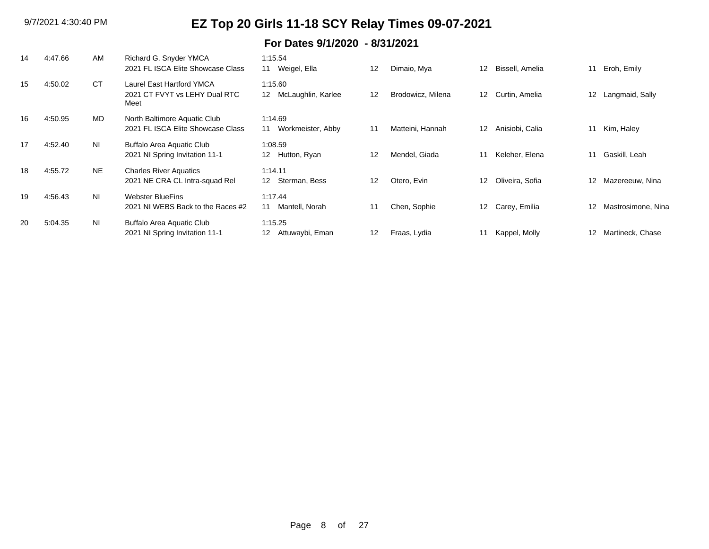| 14 | 4:47.66 | AM  | Richard G. Snyder YMCA<br>2021 FL ISCA Elite Showcase Class        | 1:15.54<br>11<br>Weigel, Ella                 | 12 | Dimaio, Mya       | 12                | Bissell, Amelia | 11                | Eroh, Emily        |
|----|---------|-----|--------------------------------------------------------------------|-----------------------------------------------|----|-------------------|-------------------|-----------------|-------------------|--------------------|
| 15 | 4:50.02 | CT  | Laurel East Hartford YMCA<br>2021 CT FVYT vs LEHY Dual RTC<br>Meet | 1:15.60<br>McLaughlin, Karlee<br>12           | 12 | Brodowicz, Milena | $12 \overline{ }$ | Curtin, Amelia  | 12 <sup>°</sup>   | Langmaid, Sally    |
| 16 | 4:50.95 | MD  | North Baltimore Aquatic Club<br>2021 FL ISCA Elite Showcase Class  | 1:14.69<br>Workmeister, Abby<br>11            | 11 | Matteini, Hannah  | 12                | Anisiobi, Calia | 11                | Kim, Haley         |
| 17 | 4:52.40 | ΝI  | Buffalo Area Aquatic Club<br>2021 NI Spring Invitation 11-1        | 1:08.59<br>12<br>Hutton, Ryan                 | 12 | Mendel, Giada     | 11                | Keleher, Elena  | 11                | Gaskill, Leah      |
| 18 | 4:55.72 | NE. | <b>Charles River Aquatics</b><br>2021 NE CRA CL Intra-squad Rel    | 1:14.11<br>Sterman, Bess<br>12 <sup>2</sup>   | 12 | Otero, Evin       | $12 \overline{ }$ | Oliveira, Sofia | $12 \overline{ }$ | Mazereeuw, Nina    |
| 19 | 4:56.43 | ΝI  | <b>Webster BlueFins</b><br>2021 NI WEBS Back to the Races #2       | 1:17.44<br>Mantell, Norah<br>11               | 11 | Chen, Sophie      | 12                | Carey, Emilia   | 12 <sup>2</sup>   | Mastrosimone, Nina |
| 20 | 5:04.35 | ΝI  | Buffalo Area Aquatic Club<br>2021 NI Spring Invitation 11-1        | 1:15.25<br>12 <sup>°</sup><br>Attuwaybi, Eman | 12 | Fraas, Lydia      | 11                | Kappel, Molly   | 12 <sup>°</sup>   | Martineck, Chase   |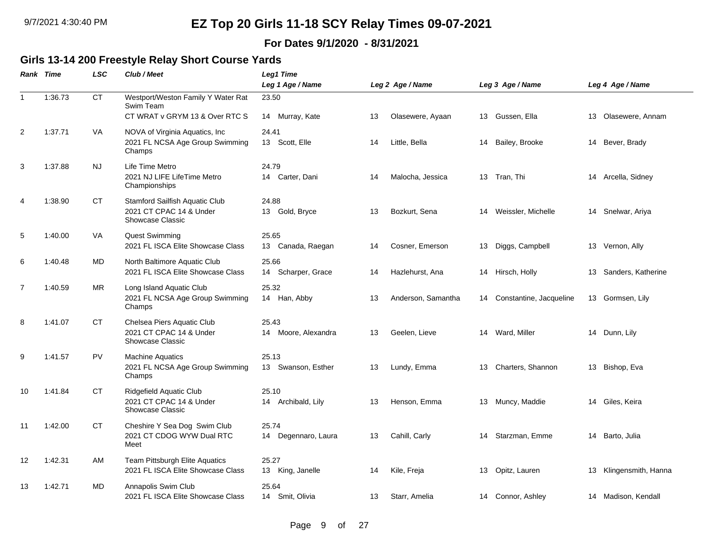#### **For Dates 9/1/2020 - 8/31/2021**

### **Girls 13-14 200 Freestyle Relay Short Course Yards**

|                | Rank Time | <b>LSC</b>             | Club / Meet                                                                          | Leg1 Time<br>Leg 1 Age / Name |    | Leg 2 Age / Name   |    | Leg 3 Age / Name        |    | Leg 4 Age / Name    |
|----------------|-----------|------------------------|--------------------------------------------------------------------------------------|-------------------------------|----|--------------------|----|-------------------------|----|---------------------|
| $\mathbf{1}$   | 1:36.73   | $\mathsf{C}\mathsf{T}$ | Westport/Weston Family Y Water Rat<br>Swim Team<br>CT WRAT v GRYM 13 & Over RTC S    | 23.50<br>14 Murray, Kate      | 13 | Olasewere, Ayaan   |    | 13 Gussen, Ella         |    | 13 Olasewere, Annam |
| $\overline{c}$ | 1:37.71   | VA                     | NOVA of Virginia Aquatics, Inc<br>2021 FL NCSA Age Group Swimming<br>Champs          | 24.41<br>13 Scott, Elle       | 14 | Little, Bella      | 14 | Bailey, Brooke          |    | 14 Bever, Brady     |
| 3              | 1:37.88   | NJ.                    | Life Time Metro<br>2021 NJ LIFE LifeTime Metro<br>Championships                      | 24.79<br>14 Carter, Dani      | 14 | Malocha, Jessica   | 13 | Tran, Thi               |    | 14 Arcella, Sidney  |
| 4              | 1:38.90   | <b>CT</b>              | Stamford Sailfish Aquatic Club<br>2021 CT CPAC 14 & Under<br><b>Showcase Classic</b> | 24.88<br>13 Gold, Bryce       | 13 | Bozkurt, Sena      | 14 | Weissler, Michelle      |    | 14 Snelwar, Ariya   |
| 5              | 1:40.00   | <b>VA</b>              | <b>Quest Swimming</b><br>2021 FL ISCA Elite Showcase Class                           | 25.65<br>13 Canada, Raegan    | 14 | Cosner, Emerson    | 13 | Diggs, Campbell         |    | 13 Vernon, Ally     |
| 6              | 1:40.48   | MD                     | North Baltimore Aquatic Club<br>2021 FL ISCA Elite Showcase Class                    | 25.66<br>14 Scharper, Grace   | 14 | Hazlehurst, Ana    | 14 | Hirsch, Holly           | 13 | Sanders, Katherine  |
| $\overline{7}$ | 1:40.59   | <b>MR</b>              | Long Island Aquatic Club<br>2021 FL NCSA Age Group Swimming<br>Champs                | 25.32<br>14 Han, Abby         | 13 | Anderson, Samantha | 14 | Constantine, Jacqueline |    | 13 Gormsen, Lily    |
| 8              | 1:41.07   | СT                     | Chelsea Piers Aquatic Club<br>2021 CT CPAC 14 & Under<br><b>Showcase Classic</b>     | 25.43<br>14 Moore, Alexandra  | 13 | Geelen, Lieve      |    | 14 Ward, Miller         |    | 14 Dunn, Lily       |
| 9              | 1:41.57   | PV                     | <b>Machine Aquatics</b><br>2021 FL NCSA Age Group Swimming<br>Champs                 | 25.13<br>13 Swanson, Esther   | 13 | Lundy, Emma        | 13 | Charters, Shannon       |    | 13 Bishop, Eva      |
| 10             | 1:41.84   | СT                     | Ridgefield Aquatic Club<br>2021 CT CPAC 14 & Under<br>Showcase Classic               | 25.10<br>14 Archibald, Lily   | 13 | Henson, Emma       |    | 13 Muncy, Maddie        |    | 14 Giles, Keira     |
| 11             | 1:42.00   | CT                     | Cheshire Y Sea Dog Swim Club<br>2021 CT CDOG WYW Dual RTC<br>Meet                    | 25.74<br>14 Degennaro, Laura  | 13 | Cahill, Carly      | 14 | Starzman, Emme          |    | 14 Barto, Julia     |
| 12             | 1:42.31   | AM                     | Team Pittsburgh Elite Aquatics<br>2021 FL ISCA Elite Showcase Class                  | 25.27<br>13 King, Janelle     | 14 | Kile, Freja        | 13 | Opitz, Lauren           | 13 | Klingensmith, Hanna |
| 13             | 1:42.71   | MD                     | Annapolis Swim Club<br>2021 FL ISCA Elite Showcase Class                             | 25.64<br>14 Smit, Olivia      | 13 | Starr, Amelia      |    | 14 Connor, Ashley       |    | 14 Madison, Kendall |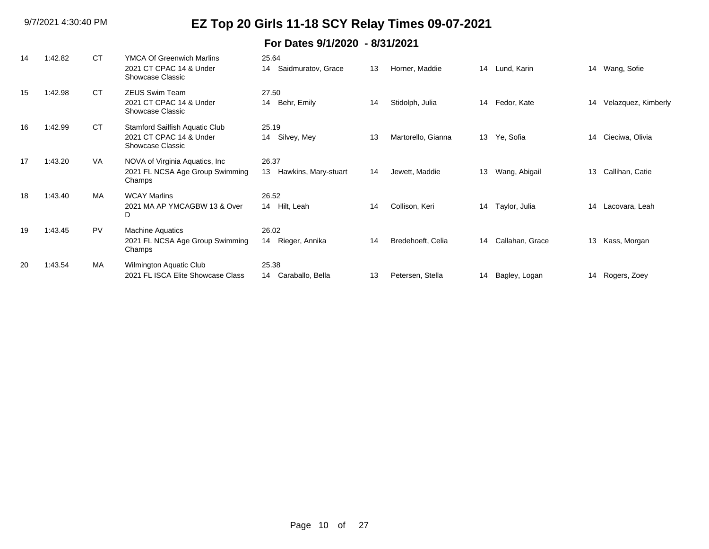| 14 | 1:42.82 | <b>CT</b> | <b>YMCA Of Greenwich Marlins</b><br>2021 CT CPAC 14 & Under<br>Showcase Classic      | 25.64<br>Saidmuratov, Grace<br>14   | 13 | Horner, Maddie     | 14 | Lund, Karin     | 14 | Wang, Sofie         |
|----|---------|-----------|--------------------------------------------------------------------------------------|-------------------------------------|----|--------------------|----|-----------------|----|---------------------|
| 15 | 1:42.98 | <b>CT</b> | <b>ZEUS Swim Team</b><br>2021 CT CPAC 14 & Under<br>Showcase Classic                 | 27.50<br>Behr, Emily<br>14          | 14 | Stidolph, Julia    | 14 | Fedor, Kate     | 14 | Velazquez, Kimberly |
| 16 | 1:42.99 | <b>CT</b> | <b>Stamford Sailfish Aquatic Club</b><br>2021 CT CPAC 14 & Under<br>Showcase Classic | 25.19<br>14 Silvey, Mey             | 13 | Martorello, Gianna | 13 | Ye, Sofia       | 14 | Cieciwa, Olivia     |
| 17 | 1:43.20 | <b>VA</b> | NOVA of Virginia Aquatics, Inc.<br>2021 FL NCSA Age Group Swimming<br>Champs         | 26.37<br>13<br>Hawkins, Mary-stuart | 14 | Jewett, Maddie     | 13 | Wang, Abigail   | 13 | Callihan, Catie     |
| 18 | 1:43.40 | MA        | <b>WCAY Marlins</b><br>2021 MA AP YMCAGBW 13 & Over<br>D                             | 26.52<br>14 Hilt, Leah              | 14 | Collison, Keri     | 14 | Taylor, Julia   | 14 | Lacovara, Leah      |
| 19 | 1:43.45 | PV        | <b>Machine Aquatics</b><br>2021 FL NCSA Age Group Swimming<br>Champs                 | 26.02<br>Rieger, Annika<br>14       | 14 | Bredehoeft, Celia  | 14 | Callahan, Grace | 13 | Kass, Morgan        |
| 20 | 1:43.54 | MA        | Wilmington Aquatic Club<br>2021 FL ISCA Elite Showcase Class                         | 25.38<br>Caraballo, Bella<br>14     | 13 | Petersen, Stella   | 14 | Bagley, Logan   | 14 | Rogers, Zoey        |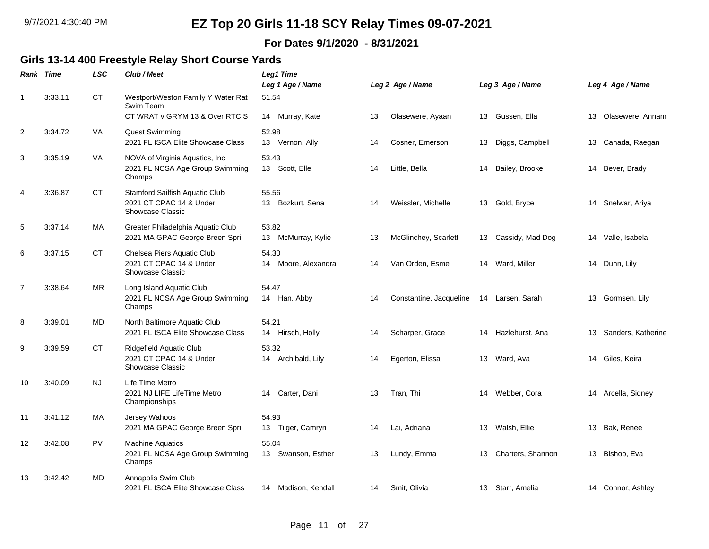#### **For Dates 9/1/2020 - 8/31/2021**

### **Girls 13-14 400 Freestyle Relay Short Course Yards**

|                | Rank Time | <b>LSC</b> | Club / Meet                                     | <b>Leg1 Time</b>       |    |                         |    |                     |    |                     |
|----------------|-----------|------------|-------------------------------------------------|------------------------|----|-------------------------|----|---------------------|----|---------------------|
|                |           |            |                                                 | Leg 1 Age / Name       |    | Leg 2 Age / Name        |    | Leg 3 Age / Name    |    | Leg 4 Age / Name    |
| $\mathbf{1}$   | 3:33.11   | CT         | Westport/Weston Family Y Water Rat<br>Swim Team | 51.54                  |    |                         |    |                     |    |                     |
|                |           |            | CT WRAT v GRYM 13 & Over RTC S                  | 14 Murray, Kate        | 13 | Olasewere, Ayaan        |    | 13 Gussen, Ella     |    | 13 Olasewere, Annam |
| 2              | 3:34.72   | VA         | <b>Quest Swimming</b>                           | 52.98                  |    |                         |    |                     |    |                     |
|                |           |            | 2021 FL ISCA Elite Showcase Class               | 13 Vernon, Ally        | 14 | Cosner, Emerson         | 13 | Diggs, Campbell     |    | 13 Canada, Raegan   |
| 3              | 3:35.19   | VA         | NOVA of Virginia Aquatics, Inc.                 | 53.43                  |    |                         |    |                     |    |                     |
|                |           |            | 2021 FL NCSA Age Group Swimming<br>Champs       | 13 Scott, Elle         | 14 | Little, Bella           | 14 | Bailey, Brooke      |    | 14 Bever, Brady     |
| 4              | 3:36.87   | <b>CT</b>  | Stamford Sailfish Aquatic Club                  | 55.56                  |    |                         |    |                     |    |                     |
|                |           |            | 2021 CT CPAC 14 & Under<br>Showcase Classic     | 13 Bozkurt, Sena       | 14 | Weissler, Michelle      |    | 13 Gold, Bryce      |    | 14 Snelwar, Ariya   |
| 5              | 3:37.14   | <b>MA</b>  | Greater Philadelphia Aquatic Club               | 53.82                  |    |                         |    |                     |    |                     |
|                |           |            | 2021 MA GPAC George Breen Spri                  | 13 McMurray, Kylie     | 13 | McGlinchey, Scarlett    |    | 13 Cassidy, Mad Dog |    | 14 Valle, Isabela   |
| 6              | 3:37.15   | СT         | Chelsea Piers Aquatic Club                      | 54.30                  |    |                         |    |                     |    |                     |
|                |           |            | 2021 CT CPAC 14 & Under<br>Showcase Classic     | 14 Moore, Alexandra    | 14 | Van Orden, Esme         |    | 14 Ward, Miller     |    | 14 Dunn, Lily       |
| $\overline{7}$ | 3:38.64   | <b>MR</b>  | Long Island Aquatic Club                        | 54.47                  |    |                         |    |                     |    |                     |
|                |           |            | 2021 FL NCSA Age Group Swimming<br>Champs       | 14 Han, Abby           | 14 | Constantine, Jacqueline |    | 14 Larsen, Sarah    |    | 13 Gormsen, Lily    |
| 8              | 3:39.01   | <b>MD</b>  | North Baltimore Aquatic Club                    | 54.21                  |    |                         |    |                     |    |                     |
|                |           |            | 2021 FL ISCA Elite Showcase Class               | 14 Hirsch, Holly       | 14 | Scharper, Grace         | 14 | Hazlehurst, Ana     | 13 | Sanders, Katherine  |
| 9              | 3:39.59   | <b>CT</b>  | Ridgefield Aquatic Club                         | 53.32                  |    |                         |    |                     |    |                     |
|                |           |            | 2021 CT CPAC 14 & Under<br>Showcase Classic     | 14 Archibald, Lily     | 14 | Egerton, Elissa         | 13 | Ward, Ava           |    | 14 Giles, Keira     |
| 10             | 3:40.09   | <b>NJ</b>  | Life Time Metro                                 |                        |    |                         |    |                     |    |                     |
|                |           |            | 2021 NJ LIFE LifeTime Metro<br>Championships    | Carter, Dani<br>14     | 13 | Tran, Thi               | 14 | Webber, Cora        |    | 14 Arcella, Sidney  |
| 11             | 3:41.12   | <b>MA</b>  | Jersey Wahoos                                   | 54.93                  |    |                         |    |                     |    |                     |
|                |           |            | 2021 MA GPAC George Breen Spri                  | 13 Tilger, Camryn      | 14 | Lai, Adriana            |    | 13 Walsh, Ellie     |    | 13 Bak, Renee       |
| 12             | 3:42.08   | PV         | <b>Machine Aquatics</b>                         | 55.04                  |    |                         |    |                     |    |                     |
|                |           |            | 2021 FL NCSA Age Group Swimming<br>Champs       | 13 Swanson, Esther     | 13 | Lundy, Emma             | 13 | Charters, Shannon   |    | 13 Bishop, Eva      |
| 13             | 3:42.42   | <b>MD</b>  | Annapolis Swim Club                             |                        |    |                         |    |                     |    |                     |
|                |           |            | 2021 FL ISCA Elite Showcase Class               | Madison, Kendall<br>14 | 14 | Smit, Olivia            | 13 | Starr, Amelia       |    | 14 Connor, Ashley   |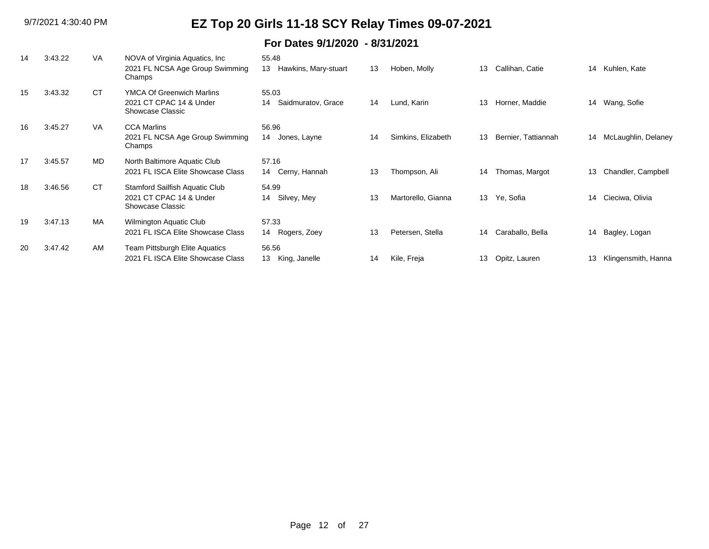| 14 | 3:43.22 | <b>VA</b> | NOVA of Virginia Aquatics, Inc.<br>2021 FL NCSA Age Group Swimming<br>Champs    | 55.48<br>13<br>Hawkins, Mary-stuart | 13 | Hoben, Molly       | 13 | Callihan, Catie     | 14 | Kuhlen, Kate        |
|----|---------|-----------|---------------------------------------------------------------------------------|-------------------------------------|----|--------------------|----|---------------------|----|---------------------|
| 15 | 3:43.32 | <b>CT</b> | <b>YMCA Of Greenwich Marlins</b><br>2021 CT CPAC 14 & Under<br>Showcase Classic | 55.03<br>Saidmuratov, Grace<br>14   | 14 | Lund, Karin        | 13 | Horner, Maddie      | 14 | Wang, Sofie         |
| 16 | 3:45.27 | VA        | <b>CCA Marlins</b><br>2021 FL NCSA Age Group Swimming<br>Champs                 | 56.96<br>14<br>Jones, Layne         | 14 | Simkins, Elizabeth | 13 | Bernier, Tattiannah | 14 | McLaughlin, Delaney |
| 17 | 3:45.57 | MD        | North Baltimore Aquatic Club<br>2021 FL ISCA Elite Showcase Class               | 57.16<br>14 Cerny, Hannah           | 13 | Thompson, Ali      | 14 | Thomas, Margot      | 13 | Chandler, Campbell  |
| 18 | 3:46.56 | <b>CT</b> | Stamford Sailfish Aquatic Club<br>2021 CT CPAC 14 & Under<br>Showcase Classic   | 54.99<br>14 Silvey, Mey             | 13 | Martorello, Gianna | 13 | Ye, Sofia           | 14 | Cieciwa, Olivia     |
| 19 | 3:47.13 | MA        | Wilmington Aquatic Club<br>2021 FL ISCA Elite Showcase Class                    | 57.33<br>14 Rogers, Zoey            | 13 | Petersen, Stella   | 14 | Caraballo, Bella    | 14 | Bagley, Logan       |
| 20 | 3:47.42 | <b>AM</b> | Team Pittsburgh Elite Aquatics<br>2021 FL ISCA Elite Showcase Class             | 56.56<br>13 King, Janelle           | 14 | Kile, Freja        | 13 | Opitz, Lauren       | 13 | Klingensmith, Hanna |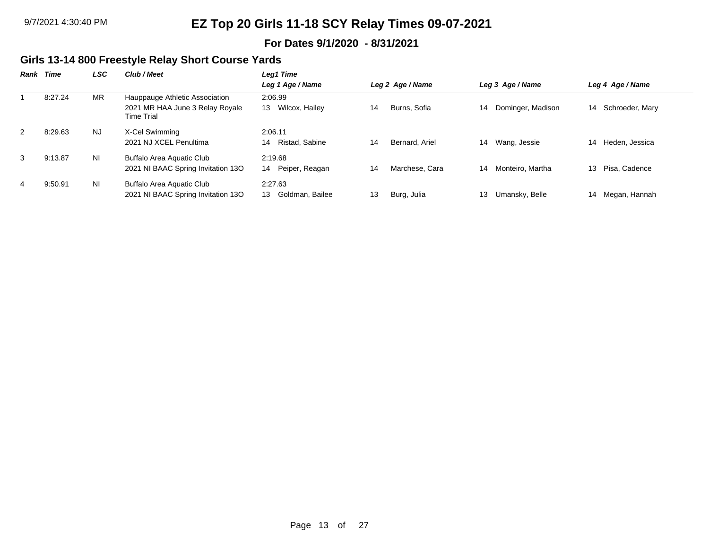#### **For Dates 9/1/2020 - 8/31/2021**

### **Girls 13-14 800 Freestyle Relay Short Course Yards**

| Rank | Time    | <b>LSC</b> | Club / Meet                                   | Leg1 Time                           |    |                  |    |                   |    |                    |
|------|---------|------------|-----------------------------------------------|-------------------------------------|----|------------------|----|-------------------|----|--------------------|
|      |         |            |                                               | Leg 1 Age / Name                    |    | Leg 2 Age / Name |    | Leg 3 Age / Name  |    | Leg 4 Age / Name   |
|      | 8:27.24 | MR         | Hauppauge Athletic Association                | 2:06.99                             |    |                  |    |                   |    |                    |
|      |         |            | 2021 MR HAA June 3 Relay Royale<br>Time Trial | Wilcox, Hailey<br>13                | 14 | Burns, Sofia     | 14 | Dominger, Madison |    | 14 Schroeder, Mary |
| 2    | 8:29.63 | <b>NJ</b>  | X-Cel Swimming                                | 2:06.11                             |    |                  |    |                   |    |                    |
|      |         |            | 2021 NJ XCEL Penultima                        | Ristad, Sabine<br>14                | 14 | Bernard, Ariel   | 14 | Wang, Jessie      | 14 | Heden, Jessica     |
| 3    | 9:13.87 | <b>NI</b>  | Buffalo Area Aquatic Club                     | 2:19.68                             |    |                  |    |                   |    |                    |
|      |         |            | 2021 NI BAAC Spring Invitation 130            | Peiper, Reagan<br>14                | 14 | Marchese, Cara   | 14 | Monteiro, Martha  | 13 | Pisa, Cadence      |
| 4    | 9:50.91 | ΝI         | <b>Buffalo Area Aquatic Club</b>              | 2:27.63                             |    |                  |    |                   |    |                    |
|      |         |            | 2021 NI BAAC Spring Invitation 13O            | Goldman, Bailee<br>13 <sup>13</sup> | 13 | Burg, Julia      | 13 | Umansky, Belle    | 14 | Megan, Hannah      |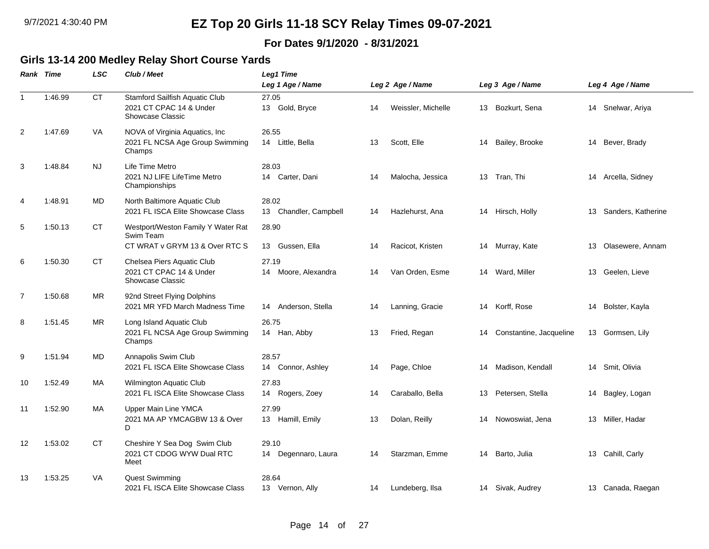#### **For Dates 9/1/2020 - 8/31/2021**

#### **Girls 13-14 200 Medley Relay Short Course Yards**

|                | Rank Time | <b>LSC</b> | Club / Meet                                                                       | <b>Leg1 Time</b>                  |                  |                    |    |                         |    |                    |
|----------------|-----------|------------|-----------------------------------------------------------------------------------|-----------------------------------|------------------|--------------------|----|-------------------------|----|--------------------|
|                |           |            |                                                                                   | Leg 1 Age / Name                  | Leg 2 Age / Name |                    |    | Leg 3 Age / Name        |    | Leg 4 Age / Name   |
| $\mathbf{1}$   | 1:46.99   | <b>CT</b>  | Stamford Sailfish Aquatic Club<br>2021 CT CPAC 14 & Under<br>Showcase Classic     | 27.05<br>13 Gold, Bryce           | 14               | Weissler, Michelle |    | 13 Bozkurt, Sena        |    | 14 Snelwar, Ariya  |
| $\overline{2}$ | 1:47.69   | <b>VA</b>  | NOVA of Virginia Aquatics, Inc<br>2021 FL NCSA Age Group Swimming<br>Champs       | 26.55<br>14 Little, Bella         | 13               | Scott, Elle        | 14 | Bailey, Brooke          |    | 14 Bever, Brady    |
| 3              | 1:48.84   | <b>NJ</b>  | Life Time Metro<br>2021 NJ LIFE LifeTime Metro<br>Championships                   | 28.03<br>14 Carter, Dani          | 14               | Malocha, Jessica   | 13 | Tran, Thi               | 14 | Arcella, Sidney    |
| 4              | 1:48.91   | MD         | North Baltimore Aquatic Club<br>2021 FL ISCA Elite Showcase Class                 | 28.02<br>Chandler, Campbell<br>13 | 14               | Hazlehurst, Ana    | 14 | Hirsch, Holly           | 13 | Sanders, Katherine |
| 5              | 1:50.13   | <b>CT</b>  | Westport/Weston Family Y Water Rat<br>Swim Team<br>CT WRAT v GRYM 13 & Over RTC S | 28.90<br>Gussen, Ella<br>13       | 14               | Racicot, Kristen   |    | 14 Murray, Kate         | 13 | Olasewere, Annam   |
| 6              | 1:50.30   | <b>CT</b>  | Chelsea Piers Aquatic Club<br>2021 CT CPAC 14 & Under<br>Showcase Classic         | 27.19<br>14 Moore, Alexandra      | 14               | Van Orden, Esme    |    | 14 Ward, Miller         |    | 13 Geelen, Lieve   |
| $\overline{7}$ | 1:50.68   | <b>MR</b>  | 92nd Street Flying Dolphins<br>2021 MR YFD March Madness Time                     | 14 Anderson, Stella               | 14               | Lanning, Gracie    |    | 14 Korff, Rose          |    | 14 Bolster, Kayla  |
| 8              | 1:51.45   | <b>MR</b>  | Long Island Aquatic Club<br>2021 FL NCSA Age Group Swimming<br>Champs             | 26.75<br>14 Han, Abby             | 13               | Fried, Regan       | 14 | Constantine, Jacqueline |    | 13 Gormsen, Lily   |
| 9              | 1:51.94   | MD         | Annapolis Swim Club<br>2021 FL ISCA Elite Showcase Class                          | 28.57<br>Connor, Ashley<br>14     | 14               | Page, Chloe        | 14 | Madison, Kendall        | 14 | Smit, Olivia       |
| 10             | 1:52.49   | <b>MA</b>  | Wilmington Aquatic Club<br>2021 FL ISCA Elite Showcase Class                      | 27.83<br>14 Rogers, Zoey          | 14               | Caraballo, Bella   | 13 | Petersen, Stella        | 14 | Bagley, Logan      |
| 11             | 1:52.90   | <b>MA</b>  | <b>Upper Main Line YMCA</b><br>2021 MA AP YMCAGBW 13 & Over<br>D                  | 27.99<br>13 Hamill, Emily         | 13               | Dolan, Reilly      | 14 | Nowoswiat, Jena         |    | 13 Miller, Hadar   |
| 12             | 1:53.02   | <b>CT</b>  | Cheshire Y Sea Dog Swim Club<br>2021 CT CDOG WYW Dual RTC<br>Meet                 | 29.10<br>14 Degennaro, Laura      | 14               | Starzman, Emme     | 14 | Barto, Julia            |    | 13 Cahill, Carly   |
| 13             | 1:53.25   | VA         | Quest Swimming<br>2021 FL ISCA Elite Showcase Class                               | 28.64<br>13 Vernon, Ally          | 14               | Lundeberg, Ilsa    |    | 14 Sivak, Audrey        |    | 13 Canada, Raegan  |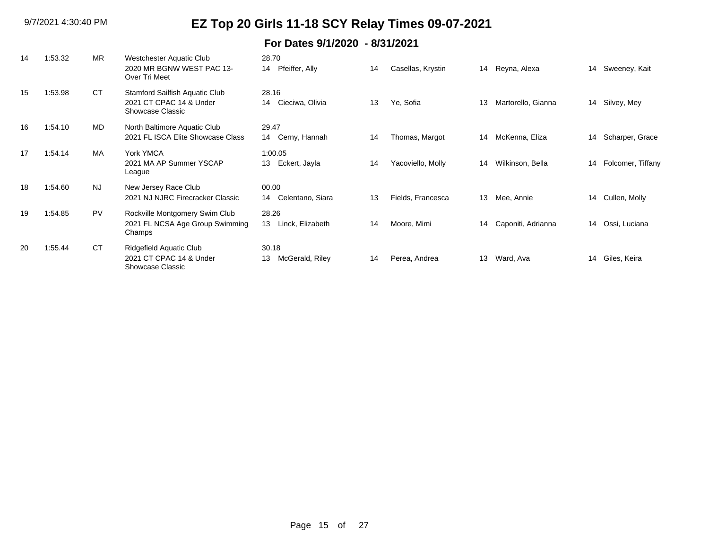| 14 | 1:53.32 | <b>MR</b> | Westchester Aquatic Club<br>2020 MR BGNW WEST PAC 13-<br>Over Tri Meet        | 28.70<br>Pfeiffer, Ally<br>14   | 14 | Casellas, Krystin |    | 14 Reyna, Alexa    | 14 | Sweeney, Kait     |
|----|---------|-----------|-------------------------------------------------------------------------------|---------------------------------|----|-------------------|----|--------------------|----|-------------------|
| 15 | 1:53.98 | <b>CT</b> | Stamford Sailfish Aquatic Club<br>2021 CT CPAC 14 & Under<br>Showcase Classic | 28.16<br>Cieciwa, Olivia<br>14  | 13 | Ye, Sofia         | 13 | Martorello, Gianna | 14 | Silvey, Mey       |
| 16 | 1:54.10 | MD        | North Baltimore Aquatic Club<br>2021 FL ISCA Elite Showcase Class             | 29.47<br>Cerny, Hannah<br>14    | 14 | Thomas, Margot    | 14 | McKenna, Eliza     | 14 | Scharper, Grace   |
| 17 | 1:54.14 | MA        | York YMCA<br>2021 MA AP Summer YSCAP<br>League                                | 1:00.05<br>Eckert, Jayla<br>13  | 14 | Yacoviello, Molly | 14 | Wilkinson, Bella   | 14 | Folcomer, Tiffany |
| 18 | 1:54.60 | <b>NJ</b> | New Jersey Race Club<br>2021 NJ NJRC Firecracker Classic                      | 00.00<br>Celentano, Siara<br>14 | 13 | Fields, Francesca | 13 | Mee, Annie         | 14 | Cullen, Molly     |
| 19 | 1:54.85 | PV        | Rockville Montgomery Swim Club<br>2021 FL NCSA Age Group Swimming<br>Champs   | 28.26<br>13<br>Linck, Elizabeth | 14 | Moore, Mimi       | 14 | Caponiti, Adrianna | 14 | Ossi, Luciana     |
| 20 | 1:55.44 | <b>CT</b> | Ridgefield Aquatic Club<br>2021 CT CPAC 14 & Under<br>Showcase Classic        | 30.18<br>McGerald, Riley<br>13  | 14 | Perea, Andrea     | 13 | Ward, Ava          | 14 | Giles, Keira      |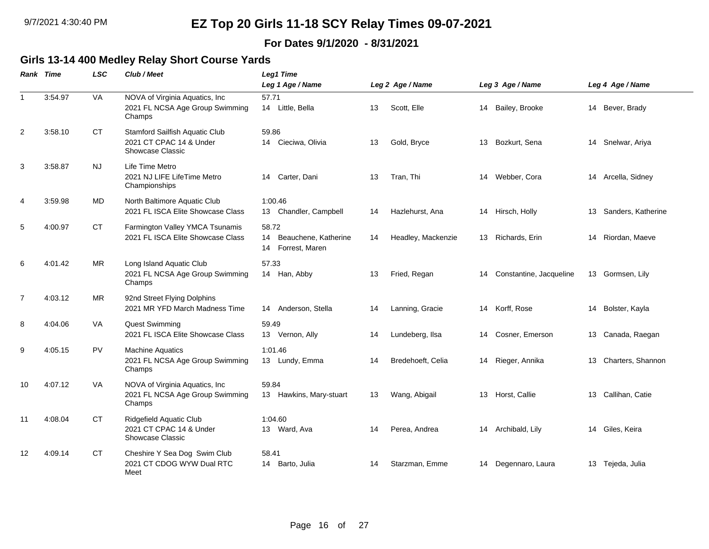#### **For Dates 9/1/2020 - 8/31/2021**

#### **Girls 13-14 400 Medley Relay Short Course Yards**

|                | Rank Time | <b>LSC</b> | Club / Meet                                                                          | Leg1 Time                                                   |    |                    |    |                            |                       |
|----------------|-----------|------------|--------------------------------------------------------------------------------------|-------------------------------------------------------------|----|--------------------|----|----------------------------|-----------------------|
|                |           |            |                                                                                      | Leg 1 Age / Name                                            |    | Leg 2 Age / Name   |    | Leg 3 Age / Name           | Leg 4 Age / Name      |
| $\mathbf{1}$   | 3:54.97   | <b>VA</b>  | NOVA of Virginia Aquatics, Inc<br>2021 FL NCSA Age Group Swimming<br>Champs          | 57.71<br>14 Little, Bella                                   | 13 | Scott, Elle        |    | 14 Bailey, Brooke          | 14 Bever, Brady       |
| $\overline{2}$ | 3:58.10   | <b>CT</b>  | Stamford Sailfish Aquatic Club<br>2021 CT CPAC 14 & Under<br><b>Showcase Classic</b> | 59.86<br>14 Cieciwa, Olivia                                 | 13 | Gold, Bryce        |    | 13 Bozkurt, Sena           | 14 Snelwar, Ariya     |
| 3              | 3:58.87   | <b>NJ</b>  | Life Time Metro<br>2021 NJ LIFE LifeTime Metro<br>Championships                      | Carter, Dani<br>14                                          | 13 | Tran, Thi          |    | 14 Webber, Cora            | 14 Arcella, Sidney    |
| $\overline{4}$ | 3:59.98   | MD         | North Baltimore Aquatic Club<br>2021 FL ISCA Elite Showcase Class                    | 1:00.46<br>13 Chandler, Campbell                            | 14 | Hazlehurst, Ana    |    | 14 Hirsch, Holly           | 13 Sanders, Katherine |
| 5              | 4:00.97   | <b>CT</b>  | Farmington Valley YMCA Tsunamis<br>2021 FL ISCA Elite Showcase Class                 | 58.72<br>14<br>Beauchene, Katherine<br>Forrest, Maren<br>14 | 14 | Headley, Mackenzie |    | 13 Richards, Erin          | 14 Riordan, Maeve     |
| 6              | 4:01.42   | <b>MR</b>  | Long Island Aquatic Club<br>2021 FL NCSA Age Group Swimming<br>Champs                | 57.33<br>14 Han, Abby                                       | 13 | Fried, Regan       |    | 14 Constantine, Jacqueline | 13 Gormsen, Lily      |
| $\overline{7}$ | 4:03.12   | <b>MR</b>  | 92nd Street Flying Dolphins<br>2021 MR YFD March Madness Time                        | 14 Anderson, Stella                                         | 14 | Lanning, Gracie    |    | 14 Korff, Rose             | 14 Bolster, Kayla     |
| 8              | 4:04.06   | VA         | <b>Quest Swimming</b><br>2021 FL ISCA Elite Showcase Class                           | 59.49<br>13 Vernon, Ally                                    | 14 | Lundeberg, Ilsa    | 14 | Cosner, Emerson            | 13 Canada, Raegan     |
| 9              | 4:05.15   | <b>PV</b>  | <b>Machine Aquatics</b><br>2021 FL NCSA Age Group Swimming<br>Champs                 | 1:01.46<br>13 Lundy, Emma                                   | 14 | Bredehoeft, Celia  |    | 14 Rieger, Annika          | 13 Charters, Shannon  |
| 10             | 4:07.12   | VA         | NOVA of Virginia Aquatics, Inc.<br>2021 FL NCSA Age Group Swimming<br>Champs         | 59.84<br>13 Hawkins, Mary-stuart                            | 13 | Wang, Abigail      |    | 13 Horst, Callie           | 13 Callihan, Catie    |
| 11             | 4:08.04   | <b>CT</b>  | Ridgefield Aquatic Club<br>2021 CT CPAC 14 & Under<br><b>Showcase Classic</b>        | 1:04.60<br>13 Ward, Ava                                     | 14 | Perea, Andrea      |    | 14 Archibald, Lily         | 14 Giles, Keira       |
| 12             | 4:09.14   | <b>CT</b>  | Cheshire Y Sea Dog Swim Club<br>2021 CT CDOG WYW Dual RTC<br>Meet                    | 58.41<br>14 Barto, Julia                                    | 14 | Starzman, Emme     |    | 14 Degennaro, Laura        | 13 Tejeda, Julia      |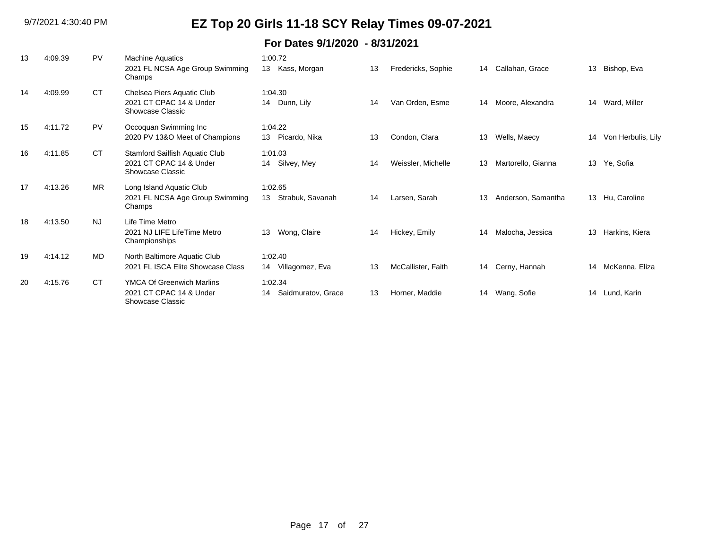| 13 | 4:09.39 | PV        | <b>Machine Aquatics</b><br>2021 FL NCSA Age Group Swimming<br>Champs            | 1:00.72<br>Kass, Morgan<br>13       | 13 | Fredericks, Sophie | 14 | Callahan, Grace    | 13 | Bishop, Eva        |
|----|---------|-----------|---------------------------------------------------------------------------------|-------------------------------------|----|--------------------|----|--------------------|----|--------------------|
| 14 | 4:09.99 | <b>CT</b> | Chelsea Piers Aquatic Club<br>2021 CT CPAC 14 & Under<br>Showcase Classic       | 1:04.30<br>14 Dunn, Lily            | 14 | Van Orden, Esme    | 14 | Moore, Alexandra   | 14 | Ward, Miller       |
| 15 | 4:11.72 | PV        | Occoquan Swimming Inc<br>2020 PV 13&O Meet of Champions                         | 1:04.22<br>13 Picardo, Nika         | 13 | Condon, Clara      | 13 | Wells, Maecy       | 14 | Von Herbulis, Lily |
| 16 | 4:11.85 | <b>CT</b> | Stamford Sailfish Aquatic Club<br>2021 CT CPAC 14 & Under<br>Showcase Classic   | 1:01.03<br>14 Silvey, Mey           | 14 | Weissler, Michelle | 13 | Martorello, Gianna | 13 | Ye, Sofia          |
| 17 | 4:13.26 | <b>MR</b> | Long Island Aquatic Club<br>2021 FL NCSA Age Group Swimming<br>Champs           | 1:02.65<br>Strabuk, Savanah<br>13   | 14 | Larsen, Sarah      | 13 | Anderson, Samantha | 13 | Hu, Caroline       |
| 18 | 4:13.50 | <b>NJ</b> | Life Time Metro<br>2021 NJ LIFE LifeTime Metro<br>Championships                 | Wong, Claire<br>13                  | 14 | Hickey, Emily      | 14 | Malocha, Jessica   | 13 | Harkins, Kiera     |
| 19 | 4:14.12 | MD        | North Baltimore Aquatic Club<br>2021 FL ISCA Elite Showcase Class               | 1:02.40<br>14 Villagomez, Eva       | 13 | McCallister, Faith | 14 | Cerny, Hannah      | 14 | McKenna, Eliza     |
| 20 | 4:15.76 | <b>CT</b> | <b>YMCA Of Greenwich Marlins</b><br>2021 CT CPAC 14 & Under<br>Showcase Classic | 1:02.34<br>Saidmuratov, Grace<br>14 | 13 | Horner, Maddie     | 14 | Wang, Sofie        | 14 | Lund, Karin        |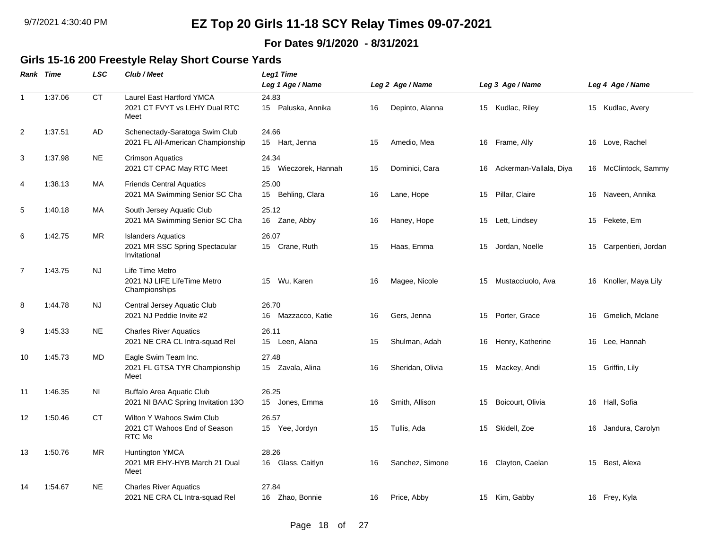#### **For Dates 9/1/2020 - 8/31/2021**

#### **Girls 15-16 200 Freestyle Relay Short Course Yards**

|                | Rank Time | LSC       | Club / Meet                                                                 | <b>Leg1 Time</b><br>Leg 1 Age / Name |    | Leg 2 Age / Name |    | Leg 3 Age / Name       |    | Leg 4 Age / Name       |
|----------------|-----------|-----------|-----------------------------------------------------------------------------|--------------------------------------|----|------------------|----|------------------------|----|------------------------|
| $\mathbf{1}$   | 1:37.06   | <b>CT</b> | <b>Laurel East Hartford YMCA</b><br>2021 CT FVYT vs LEHY Dual RTC<br>Meet   | 24.83<br>15 Paluska, Annika          | 16 | Depinto, Alanna  |    | 15 Kudlac, Riley       |    | 15 Kudlac, Avery       |
| $\overline{2}$ | 1:37.51   | AD        | Schenectady-Saratoga Swim Club<br>2021 FL All-American Championship         | 24.66<br>15 Hart, Jenna              | 15 | Amedio, Mea      | 16 | Frame, Ally            |    | 16 Love, Rachel        |
| 3              | 1:37.98   | <b>NE</b> | <b>Crimson Aquatics</b><br>2021 CT CPAC May RTC Meet                        | 24.34<br>Wieczorek, Hannah<br>15     | 15 | Dominici, Cara   | 16 | Ackerman-Vallala, Diya |    | 16 McClintock, Sammy   |
| $\overline{4}$ | 1:38.13   | МA        | <b>Friends Central Aquatics</b><br>2021 MA Swimming Senior SC Cha           | 25.00<br>15 Behling, Clara           | 16 | Lane, Hope       | 15 | Pillar, Claire         |    | 16 Naveen, Annika      |
| 5              | 1:40.18   | MA        | South Jersey Aquatic Club<br>2021 MA Swimming Senior SC Cha                 | 25.12<br>16 Zane, Abby               | 16 | Haney, Hope      | 15 | Lett, Lindsey          |    | 15 Fekete, Em          |
| 6              | 1:42.75   | <b>MR</b> | <b>Islanders Aquatics</b><br>2021 MR SSC Spring Spectacular<br>Invitational | 26.07<br>15 Crane, Ruth              | 15 | Haas, Emma       | 15 | Jordan, Noelle         |    | 15 Carpentieri, Jordan |
| $\overline{7}$ | 1:43.75   | <b>NJ</b> | Life Time Metro<br>2021 NJ LIFE LifeTime Metro<br>Championships             | Wu, Karen<br>15                      | 16 | Magee, Nicole    | 15 | Mustacciuolo, Ava      |    | 16 Knoller, Maya Lily  |
| 8              | 1:44.78   | <b>NJ</b> | Central Jersey Aquatic Club<br>2021 NJ Peddie Invite #2                     | 26.70<br>16 Mazzacco, Katie          | 16 | Gers, Jenna      | 15 | Porter, Grace          | 16 | Gmelich, Mclane        |
| 9              | 1:45.33   | <b>NE</b> | <b>Charles River Aquatics</b><br>2021 NE CRA CL Intra-squad Rel             | 26.11<br>15 Leen, Alana              | 15 | Shulman, Adah    | 16 | Henry, Katherine       |    | 16 Lee, Hannah         |
| 10             | 1:45.73   | MD        | Eagle Swim Team Inc.<br>2021 FL GTSA TYR Championship<br>Meet               | 27.48<br>15 Zavala, Alina            | 16 | Sheridan, Olivia |    | 15 Mackey, Andi        |    | 15 Griffin, Lily       |
| 11             | 1:46.35   | ΝI        | Buffalo Area Aquatic Club<br>2021 NI BAAC Spring Invitation 13O             | 26.25<br>15 Jones, Emma              | 16 | Smith, Allison   | 15 | Boicourt, Olivia       |    | 16 Hall, Sofia         |
| 12             | 1:50.46   | <b>CT</b> | Wilton Y Wahoos Swim Club<br>2021 CT Wahoos End of Season<br>RTC Me         | 26.57<br>15 Yee, Jordyn              | 15 | Tullis, Ada      | 15 | Skidell, Zoe           | 16 | Jandura, Carolyn       |
| 13             | 1:50.76   | MR        | Huntington YMCA<br>2021 MR EHY-HYB March 21 Dual<br>Meet                    | 28.26<br>16 Glass, Caitlyn           | 16 | Sanchez, Simone  | 16 | Clayton, Caelan        | 15 | Best, Alexa            |
| 14             | 1:54.67   | <b>NE</b> | <b>Charles River Aquatics</b><br>2021 NE CRA CL Intra-squad Rel             | 27.84<br>16 Zhao, Bonnie             | 16 | Price, Abby      |    | 15 Kim, Gabby          |    | 16 Frey, Kyla          |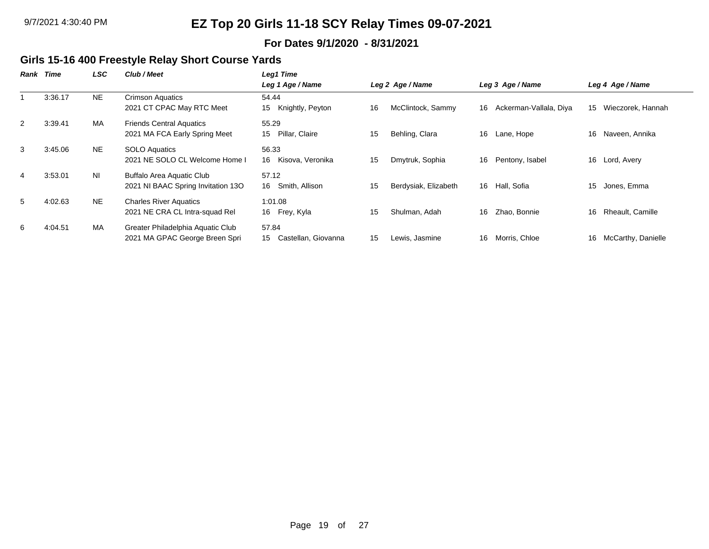#### **For Dates 9/1/2020 - 8/31/2021**

### **Girls 15-16 400 Freestyle Relay Short Course Yards**

| Rank | Time    | LSC            | Club / Meet                                                            | Leg1 Time                          |    |                      |    |                        |    |                    |
|------|---------|----------------|------------------------------------------------------------------------|------------------------------------|----|----------------------|----|------------------------|----|--------------------|
|      |         |                |                                                                        | Leg 1 Age / Name                   |    | Leg 2 Age / Name     |    | Leg 3 Age / Name       |    | Leg 4 Age / Name   |
|      | 3:36.17 | <b>NE</b>      | <b>Crimson Aquatics</b><br>2021 CT CPAC May RTC Meet                   | 54.44<br>Knightly, Peyton<br>15    | 16 | McClintock, Sammy    | 16 | Ackerman-Vallala, Diya | 15 | Wieczorek, Hannah  |
| 2    | 3:39.41 | MA             | <b>Friends Central Aquatics</b><br>2021 MA FCA Early Spring Meet       | 55.29<br>Pillar, Claire<br>15      | 15 | Behling, Clara       | 16 | Lane, Hope             | 16 | Naveen, Annika     |
| 3    | 3:45.06 | NE.            | <b>SOLO Aquatics</b><br>2021 NE SOLO CL Welcome Home I                 | 56.33<br>16 Kisova, Veronika       | 15 | Dmytruk, Sophia      | 16 | Pentony, Isabel        | 16 | Lord, Avery        |
| 4    | 3:53.01 | N <sub>l</sub> | <b>Buffalo Area Aquatic Club</b><br>2021 NI BAAC Spring Invitation 13O | 57.12<br>Smith, Allison<br>16      | 15 | Berdysiak, Elizabeth |    | 16 Hall, Sofia         | 15 | Jones, Emma        |
| 5    | 4:02.63 | <b>NE</b>      | <b>Charles River Aquatics</b><br>2021 NE CRA CL Intra-squad Rel        | 1:01.08<br>16 Frey, Kyla           | 15 | Shulman, Adah        | 16 | Zhao, Bonnie           | 16 | Rheault, Camille   |
| 6    | 4:04.51 | <b>MA</b>      | Greater Philadelphia Aquatic Club<br>2021 MA GPAC George Breen Spri    | 57.84<br>15<br>Castellan, Giovanna | 15 | Lewis, Jasmine       | 16 | Morris, Chloe          | 16 | McCarthy, Danielle |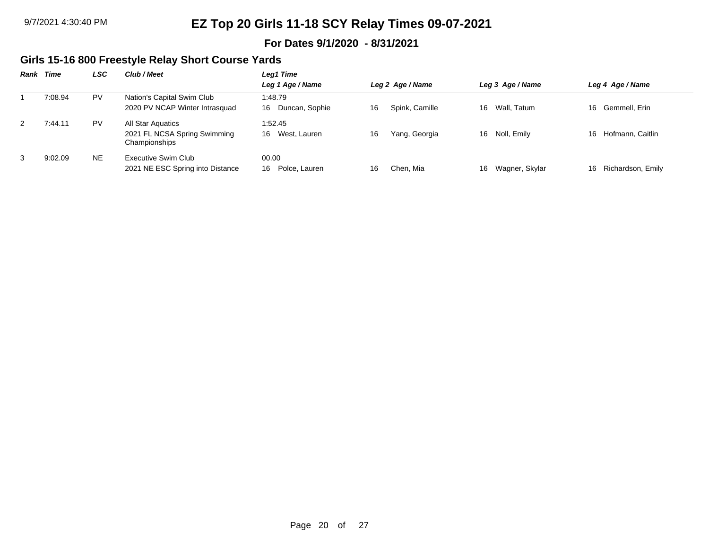#### **For Dates 9/1/2020 - 8/31/2021**

### **Girls 15-16 800 Freestyle Relay Short Course Yards**

|   | Rank Time | LSC       | Club / Meet                                                        | Leg1 Time                       |    |                  |    |                  |    |                   |
|---|-----------|-----------|--------------------------------------------------------------------|---------------------------------|----|------------------|----|------------------|----|-------------------|
|   |           |           |                                                                    | Leg 1 Age / Name                |    | Leg 2 Age / Name |    | Leg 3 Age / Name |    | Leg 4 Age / Name  |
|   | 7:08.94   | <b>PV</b> | Nation's Capital Swim Club<br>2020 PV NCAP Winter Intrasquad       | 1:48.79<br>Duncan, Sophie<br>16 | 16 | Spink, Camille   |    | 16 Wall, Tatum   | 16 | Gemmell. Erin     |
| 2 | 7:44.11   | PV        | All Star Aquatics<br>2021 FL NCSA Spring Swimming<br>Championships | 1:52.45<br>West, Lauren<br>16   | 16 | Yang, Georgia    |    | 16 Noll, Emily   | 16 | Hofmann, Caitlin  |
| 3 | 9:02.09   | NE.       | Executive Swim Club<br>2021 NE ESC Spring into Distance            | 00.00<br>Polce, Lauren<br>16    | 16 | Chen. Mia        | 16 | Wagner, Skylar   | 16 | Richardson, Emily |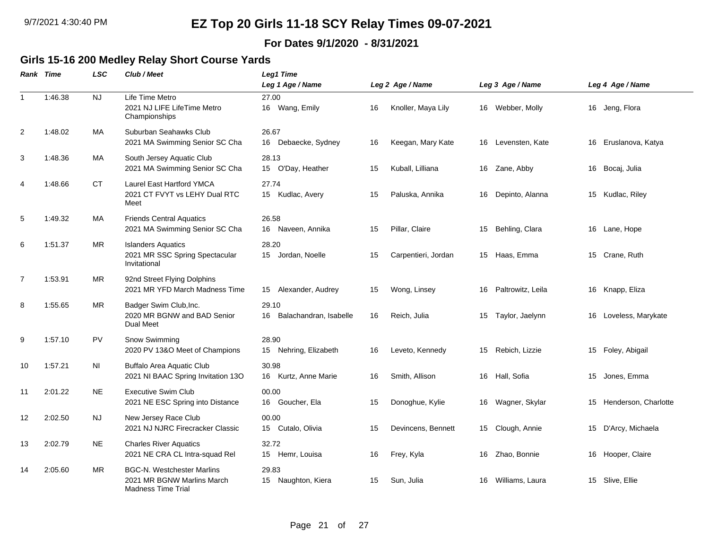#### **For Dates 9/1/2020 - 8/31/2021**

#### **Girls 15-16 200 Medley Relay Short Course Yards**

|                | Rank Time | <b>LSC</b> | Club / Meet                                                                           | <b>Leg1 Time</b>                   |    |                     |    |                   |    |                       |
|----------------|-----------|------------|---------------------------------------------------------------------------------------|------------------------------------|----|---------------------|----|-------------------|----|-----------------------|
|                |           |            |                                                                                       | Leg 1 Age / Name                   |    | Leg 2 Age / Name    |    | Leg 3 Age / Name  |    | Leg 4 Age / Name      |
| $\mathbf{1}$   | 1:46.38   | NJ         | Life Time Metro<br>2021 NJ LIFE LifeTime Metro<br>Championships                       | 27.00<br>16 Wang, Emily            | 16 | Knoller, Maya Lily  |    | 16 Webber, Molly  |    | 16 Jeng, Flora        |
| 2              | 1:48.02   | <b>MA</b>  | Suburban Seahawks Club<br>2021 MA Swimming Senior SC Cha                              | 26.67<br>Debaecke, Sydney<br>16    | 16 | Keegan, Mary Kate   | 16 | Levensten, Kate   | 16 | Eruslanova, Katya     |
| 3              | 1:48.36   | MA         | South Jersey Aquatic Club<br>2021 MA Swimming Senior SC Cha                           | 28.13<br>15 O'Day, Heather         | 15 | Kuball, Lilliana    | 16 | Zane, Abby        |    | 16 Bocaj, Julia       |
| 4              | 1:48.66   | СT         | Laurel East Hartford YMCA<br>2021 CT FVYT vs LEHY Dual RTC<br>Meet                    | 27.74<br>15 Kudlac, Avery          | 15 | Paluska, Annika     | 16 | Depinto, Alanna   |    | 15 Kudlac, Riley      |
| 5              | 1:49.32   | МA         | <b>Friends Central Aquatics</b><br>2021 MA Swimming Senior SC Cha                     | 26.58<br>16 Naveen, Annika         | 15 | Pillar, Claire      | 15 | Behling, Clara    | 16 | Lane, Hope            |
| 6              | 1:51.37   | MR.        | <b>Islanders Aquatics</b><br>2021 MR SSC Spring Spectacular<br>Invitational           | 28.20<br>15<br>Jordan, Noelle      | 15 | Carpentieri, Jordan | 15 | Haas, Emma        | 15 | Crane, Ruth           |
| $\overline{7}$ | 1:53.91   | MR.        | 92nd Street Flying Dolphins<br>2021 MR YFD March Madness Time                         | Alexander, Audrey<br>15            | 15 | Wong, Linsey        | 16 | Paltrowitz, Leila |    | 16 Knapp, Eliza       |
| 8              | 1:55.65   | <b>MR</b>  | Badger Swim Club, Inc.<br>2020 MR BGNW and BAD Senior<br>Dual Meet                    | 29.10<br>16 Balachandran, Isabelle | 16 | Reich, Julia        | 15 | Taylor, Jaelynn   |    | 16 Loveless, Marykate |
| 9              | 1:57.10   | <b>PV</b>  | Snow Swimming<br>2020 PV 13&O Meet of Champions                                       | 28.90<br>15 Nehring, Elizabeth     | 16 | Leveto, Kennedy     | 15 | Rebich, Lizzie    |    | 15 Foley, Abigail     |
| 10             | 1:57.21   | <b>NI</b>  | Buffalo Area Aquatic Club<br>2021 NI BAAC Spring Invitation 13O                       | 30.98<br>16 Kurtz, Anne Marie      | 16 | Smith, Allison      | 16 | Hall, Sofia       | 15 | Jones, Emma           |
| 11             | 2:01.22   | <b>NE</b>  | <b>Executive Swim Club</b><br>2021 NE ESC Spring into Distance                        | 00.00<br>16 Goucher, Ela           | 15 | Donoghue, Kylie     | 16 | Wagner, Skylar    | 15 | Henderson, Charlotte  |
| 12             | 2:02.50   | <b>NJ</b>  | New Jersey Race Club<br>2021 NJ NJRC Firecracker Classic                              | 00.00<br>15 Cutalo, Olivia         | 15 | Devincens, Bennett  | 15 | Clough, Annie     |    | 15 D'Arcy, Michaela   |
| 13             | 2:02.79   | <b>NE</b>  | <b>Charles River Aquatics</b><br>2021 NE CRA CL Intra-squad Rel                       | 32.72<br>15 Hemr, Louisa           | 16 | Frey, Kyla          | 16 | Zhao, Bonnie      | 16 | Hooper, Claire        |
| 14             | 2:05.60   | <b>MR</b>  | <b>BGC-N. Westchester Marlins</b><br>2021 MR BGNW Marlins March<br>Madness Time Trial | 29.83<br>15 Naughton, Kiera        | 15 | Sun, Julia          | 16 | Williams, Laura   |    | 15 Slive, Ellie       |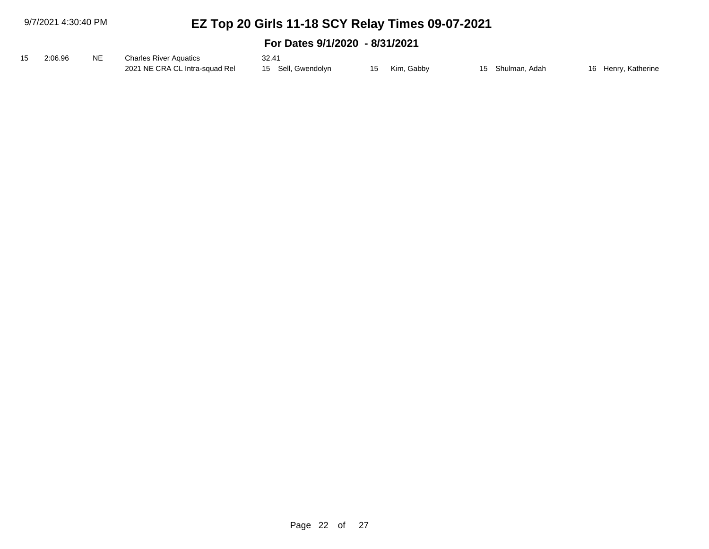9/7/2021 4:30:40 PM

# **EZ Top 20 Girls 11-18 SCY Relay Times 09-07-2021**

| 15 2:06.96 | NE NE | <b>Charles River Aquatics</b>                     | 32.41 |               |                  |                     |
|------------|-------|---------------------------------------------------|-------|---------------|------------------|---------------------|
|            |       | 2021 NE CRA CL Intra-squad Rel 15 Sell, Gwendolyn |       | 15 Kim, Gabby | 15 Shulman, Adah | 16 Henry, Katherine |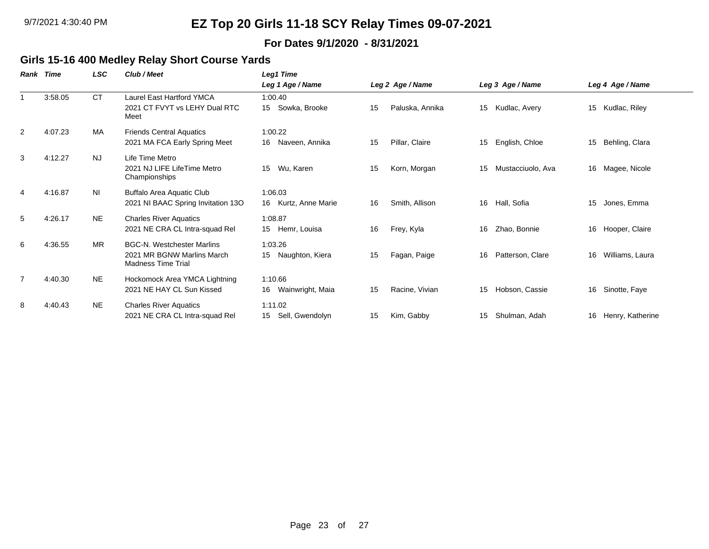#### **For Dates 9/1/2020 - 8/31/2021**

### **Girls 15-16 400 Medley Relay Short Course Yards**

| Rank           | Time    | LSC.      | Club / Meet                                                                                  | <b>Leg1 Time</b>                  |    |                  |    |                   |    |                     |
|----------------|---------|-----------|----------------------------------------------------------------------------------------------|-----------------------------------|----|------------------|----|-------------------|----|---------------------|
|                |         |           |                                                                                              | Leg 1 Age / Name                  |    | Leg 2 Age / Name |    | Leg 3 Age / Name  |    | Leg 4 Age / Name    |
|                | 3:58.05 | CT.       | <b>Laurel East Hartford YMCA</b><br>2021 CT FVYT vs LEHY Dual RTC<br>Meet                    | 1:00.40<br>Sowka, Brooke<br>15    | 15 | Paluska, Annika  | 15 | Kudlac, Avery     | 15 | Kudlac, Riley       |
| $\overline{2}$ | 4:07.23 | <b>MA</b> | <b>Friends Central Aquatics</b><br>2021 MA FCA Early Spring Meet                             | 1:00.22<br>16<br>Naveen, Annika   | 15 | Pillar, Claire   | 15 | English, Chloe    | 15 | Behling, Clara      |
| 3              | 4:12.27 | <b>NJ</b> | Life Time Metro<br>2021 NJ LIFE LifeTime Metro<br>Championships                              | Wu, Karen<br>15                   | 15 | Korn, Morgan     | 15 | Mustacciuolo, Ava |    | 16 Magee, Nicole    |
| 4              | 4:16.87 | NI        | Buffalo Area Aquatic Club<br>2021 NI BAAC Spring Invitation 13O                              | 1:06.03<br>16 Kurtz, Anne Marie   | 16 | Smith, Allison   | 16 | Hall, Sofia       | 15 | Jones, Emma         |
| 5              | 4:26.17 | <b>NE</b> | <b>Charles River Aquatics</b><br>2021 NE CRA CL Intra-squad Rel                              | 1:08.87<br>15 Hemr, Louisa        | 16 | Frey, Kyla       | 16 | Zhao, Bonnie      |    | 16 Hooper, Claire   |
| 6              | 4:36.55 | <b>MR</b> | <b>BGC-N. Westchester Marlins</b><br>2021 MR BGNW Marlins March<br><b>Madness Time Trial</b> | 1:03.26<br>Naughton, Kiera<br>15  | 15 | Fagan, Paige     | 16 | Patterson, Clare  | 16 | Williams, Laura     |
| $\overline{7}$ | 4:40.30 | NE.       | Hockomock Area YMCA Lightning<br>2021 NE HAY CL Sun Kissed                                   | 1:10.66<br>Wainwright, Maia<br>16 | 15 | Racine, Vivian   | 15 | Hobson, Cassie    | 16 | Sinotte, Faye       |
| 8              | 4:40.43 | <b>NE</b> | <b>Charles River Aquatics</b><br>2021 NE CRA CL Intra-squad Rel                              | 1:11.02<br>Sell, Gwendolyn<br>15  | 15 | Kim, Gabby       | 15 | Shulman, Adah     |    | 16 Henry, Katherine |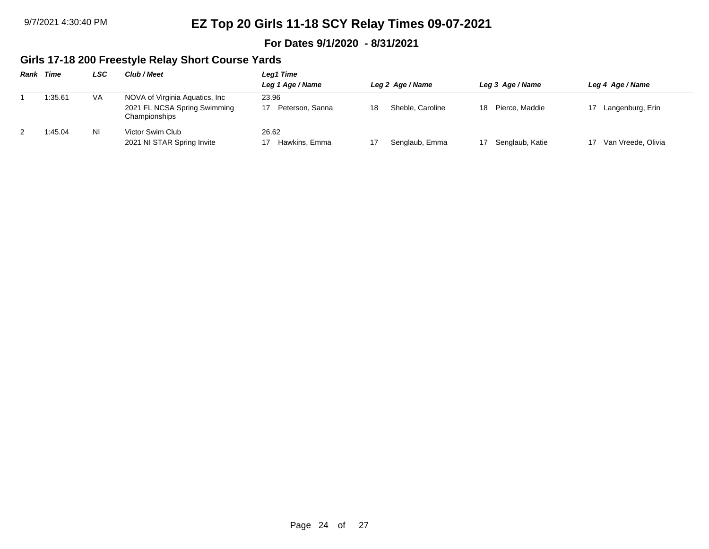#### **For Dates 9/1/2020 - 8/31/2021**

### **Girls 17-18 200 Freestyle Relay Short Course Yards**

| Rank | Time    | LSC       | Club / Meet                                                                      | Leg1 Time                |                        |                      |                    |
|------|---------|-----------|----------------------------------------------------------------------------------|--------------------------|------------------------|----------------------|--------------------|
|      |         |           |                                                                                  | Leg 1 Age / Name         | Leg 2 Age / Name       | Leg 3 Age / Name     | Leg 4 Age / Name   |
|      | 1:35.61 | <b>VA</b> | NOVA of Virginia Aquatics, Inc.<br>2021 FL NCSA Spring Swimming<br>Championships | 23.96<br>Peterson, Sanna | Sheble, Caroline<br>18 | Pierce. Maddie<br>18 | Langenburg, Erin   |
| 2    | 1:45.04 | ΝI        | Victor Swim Club<br>2021 NI STAR Spring Invite                                   | 26.62<br>Hawkins, Emma   | Senglaub, Emma         | Senglaub, Katie      | Van Vreede, Olivia |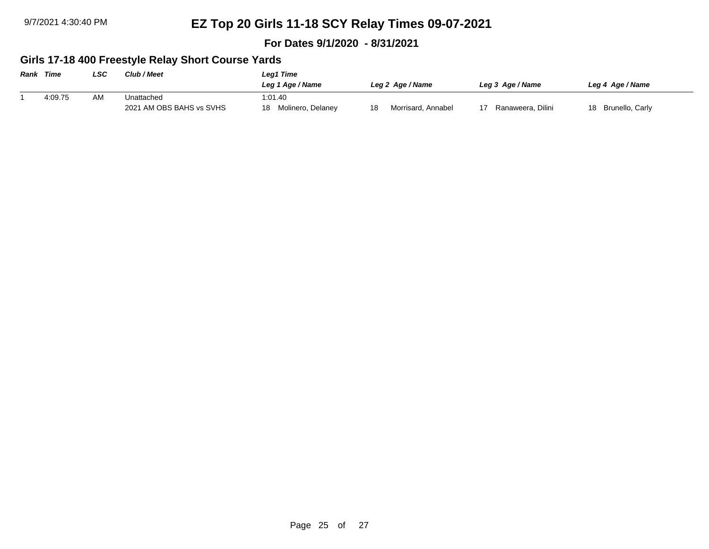**For Dates 9/1/2020 - 8/31/2021**

### **Girls 17-18 400 Freestyle Relay Short Course Yards**

| <b>Rank Time</b> |         | LSC | Club / Meet              | Leg1 Time               |    |                    |                   |                       |  |
|------------------|---------|-----|--------------------------|-------------------------|----|--------------------|-------------------|-----------------------|--|
|                  |         |     |                          | Leg 1 Age / Name        |    | Leg 2 Age / Name   | Leg 3 Age / Name  | Leg 4 Age / Name      |  |
|                  | 4:09.75 | AM  | Unattached               | 1:01.40                 |    |                    |                   |                       |  |
|                  |         |     | 2021 AM OBS BAHS vs SVHS | Molinero, Delaney<br>18 | 18 | Morrisard, Annabel | Ranaweera, Dilini | Brunello, Carly<br>18 |  |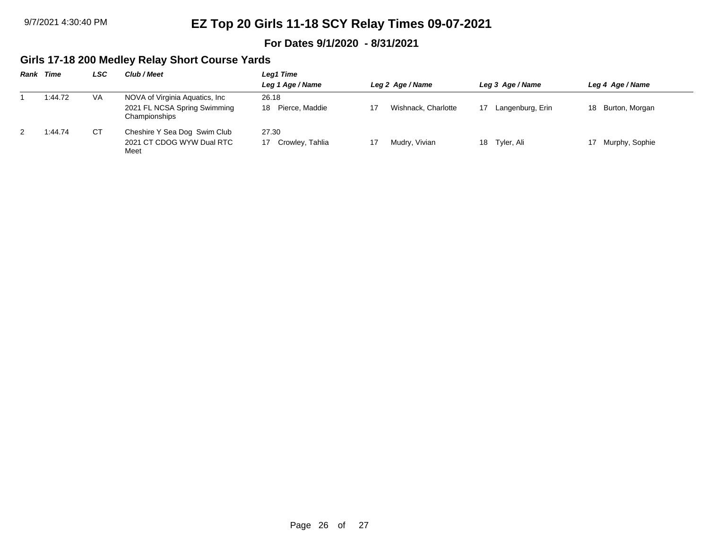#### **For Dates 9/1/2020 - 8/31/2021**

### **Girls 17-18 200 Medley Relay Short Course Yards**

| Rank | Time    | LSC | Club / Meet                                   | Leg1 Time            |                     |                  |                      |  |  |  |
|------|---------|-----|-----------------------------------------------|----------------------|---------------------|------------------|----------------------|--|--|--|
|      |         |     |                                               | Leg 1 Age / Name     | Leg 2 Age / Name    | Leg 3 Age / Name | Leg 4 Age / Name     |  |  |  |
|      | 1:44.72 | VA  | NOVA of Virginia Aquatics, Inc.               | 26.18                |                     |                  |                      |  |  |  |
|      |         |     | 2021 FL NCSA Spring Swimming<br>Championships | Pierce. Maddie<br>18 | Wishnack. Charlotte | Langenburg, Erin | Burton, Morgan<br>18 |  |  |  |
| -2   | 1:44.74 | CТ  | Cheshire Y Sea Dog Swim Club                  | 27.30                |                     |                  |                      |  |  |  |
|      |         |     | 2021 CT CDOG WYW Dual RTC<br>Meet             | Crowley, Tahlia      | Mudry, Vivian       | 18 Tyler, Ali    | Murphy, Sophie<br>17 |  |  |  |